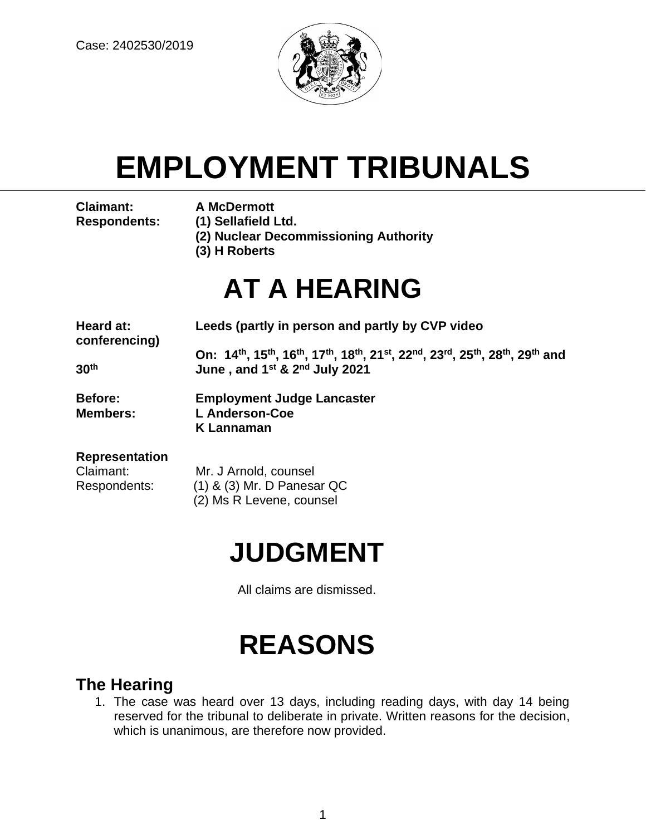

# **EMPLOYMENT TRIBUNALS**

**Claimant: A McDermott**

- 
- **Respondents: (1) Sellafield Ltd.**
	- **(2) Nuclear Decommissioning Authority**
	- **(3) H Roberts**

## **AT A HEARING**

| Heard at:<br>conferencing) | Leeds (partly in person and partly by CVP video                                                                                                                                                                        |
|----------------------------|------------------------------------------------------------------------------------------------------------------------------------------------------------------------------------------------------------------------|
|                            | On: 14 <sup>th</sup> , 15 <sup>th</sup> , 16 <sup>th</sup> , 17 <sup>th</sup> , 18 <sup>th</sup> , 21 <sup>st</sup> , 22 <sup>nd</sup> , 23 <sup>rd</sup> , 25 <sup>th</sup> , 28 <sup>th</sup> , 29 <sup>th</sup> and |
| 30 <sup>th</sup>           | June, and 1 <sup>st</sup> & 2 <sup>nd</sup> July 2021                                                                                                                                                                  |
| Before:                    | <b>Employment Judge Lancaster</b>                                                                                                                                                                                      |
| <b>Members:</b>            | <b>L</b> Anderson-Coe                                                                                                                                                                                                  |
|                            | <b>K</b> Lannaman                                                                                                                                                                                                      |
| <b>Representation</b>      |                                                                                                                                                                                                                        |

## **Representation**

Claimant: Mr. J Arnold, counsel Respondents: (1) & (3) Mr. D Panesar QC (2) Ms R Levene, counsel

## **JUDGMENT**

All claims are dismissed.

## **REASONS**

## **The Hearing**

1. The case was heard over 13 days, including reading days, with day 14 being reserved for the tribunal to deliberate in private. Written reasons for the decision, which is unanimous, are therefore now provided.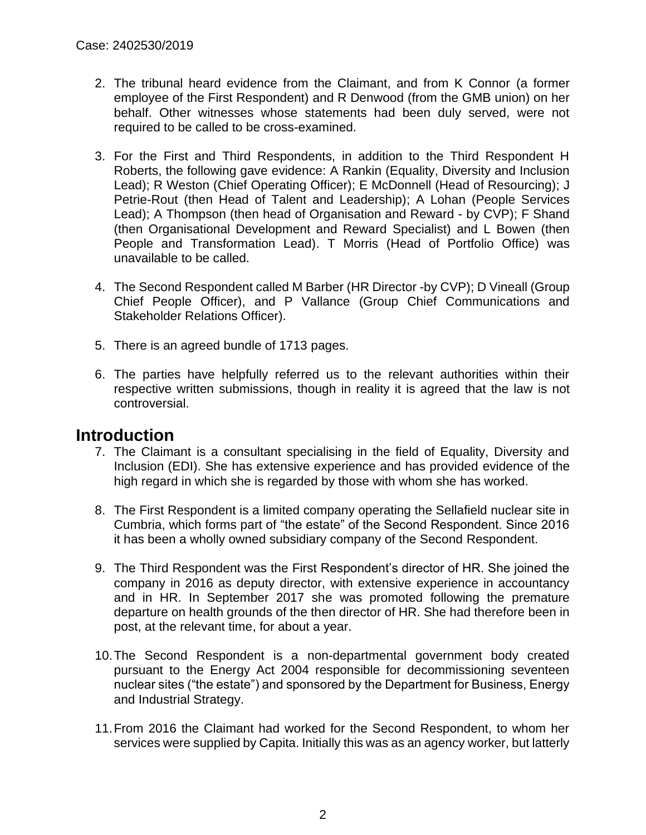- 2. The tribunal heard evidence from the Claimant, and from K Connor (a former employee of the First Respondent) and R Denwood (from the GMB union) on her behalf. Other witnesses whose statements had been duly served, were not required to be called to be cross-examined.
- 3. For the First and Third Respondents, in addition to the Third Respondent H Roberts, the following gave evidence: A Rankin (Equality, Diversity and Inclusion Lead); R Weston (Chief Operating Officer); E McDonnell (Head of Resourcing); J Petrie-Rout (then Head of Talent and Leadership); A Lohan (People Services Lead); A Thompson (then head of Organisation and Reward - by CVP); F Shand (then Organisational Development and Reward Specialist) and L Bowen (then People and Transformation Lead). T Morris (Head of Portfolio Office) was unavailable to be called.
- 4. The Second Respondent called M Barber (HR Director -by CVP); D Vineall (Group Chief People Officer), and P Vallance (Group Chief Communications and Stakeholder Relations Officer).
- 5. There is an agreed bundle of 1713 pages.
- 6. The parties have helpfully referred us to the relevant authorities within their respective written submissions, though in reality it is agreed that the law is not controversial.

## **Introduction**

- 7. The Claimant is a consultant specialising in the field of Equality, Diversity and Inclusion (EDI). She has extensive experience and has provided evidence of the high regard in which she is regarded by those with whom she has worked.
- 8. The First Respondent is a limited company operating the Sellafield nuclear site in Cumbria, which forms part of "the estate" of the Second Respondent. Since 2016 it has been a wholly owned subsidiary company of the Second Respondent.
- 9. The Third Respondent was the First Respondent's director of HR. She joined the company in 2016 as deputy director, with extensive experience in accountancy and in HR. In September 2017 she was promoted following the premature departure on health grounds of the then director of HR. She had therefore been in post, at the relevant time, for about a year.
- 10.The Second Respondent is a non-departmental government body created pursuant to the Energy Act 2004 responsible for decommissioning seventeen nuclear sites ("the estate") and sponsored by the Department for Business, Energy and Industrial Strategy.
- 11.From 2016 the Claimant had worked for the Second Respondent, to whom her services were supplied by Capita. Initially this was as an agency worker, but latterly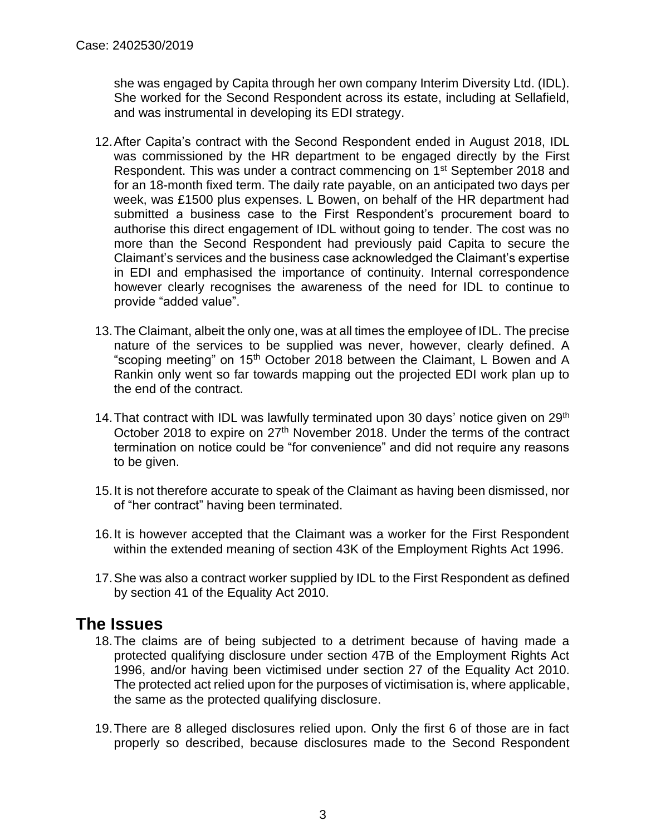she was engaged by Capita through her own company Interim Diversity Ltd. (IDL). She worked for the Second Respondent across its estate, including at Sellafield, and was instrumental in developing its EDI strategy.

- 12.After Capita's contract with the Second Respondent ended in August 2018, IDL was commissioned by the HR department to be engaged directly by the First Respondent. This was under a contract commencing on 1<sup>st</sup> September 2018 and for an 18-month fixed term. The daily rate payable, on an anticipated two days per week, was £1500 plus expenses. L Bowen, on behalf of the HR department had submitted a business case to the First Respondent's procurement board to authorise this direct engagement of IDL without going to tender. The cost was no more than the Second Respondent had previously paid Capita to secure the Claimant's services and the business case acknowledged the Claimant's expertise in EDI and emphasised the importance of continuity. Internal correspondence however clearly recognises the awareness of the need for IDL to continue to provide "added value".
- 13.The Claimant, albeit the only one, was at all times the employee of IDL. The precise nature of the services to be supplied was never, however, clearly defined. A "scoping meeting" on 15<sup>th</sup> October 2018 between the Claimant, L Bowen and A Rankin only went so far towards mapping out the projected EDI work plan up to the end of the contract.
- 14. That contract with IDL was lawfully terminated upon 30 days' notice given on 29<sup>th</sup> October 2018 to expire on 27<sup>th</sup> November 2018. Under the terms of the contract termination on notice could be "for convenience" and did not require any reasons to be given.
- 15.It is not therefore accurate to speak of the Claimant as having been dismissed, nor of "her contract" having been terminated.
- 16.It is however accepted that the Claimant was a worker for the First Respondent within the extended meaning of section 43K of the Employment Rights Act 1996.
- 17.She was also a contract worker supplied by IDL to the First Respondent as defined by section 41 of the Equality Act 2010.

## **The Issues**

- 18.The claims are of being subjected to a detriment because of having made a protected qualifying disclosure under section 47B of the Employment Rights Act 1996, and/or having been victimised under section 27 of the Equality Act 2010. The protected act relied upon for the purposes of victimisation is, where applicable, the same as the protected qualifying disclosure.
- 19.There are 8 alleged disclosures relied upon. Only the first 6 of those are in fact properly so described, because disclosures made to the Second Respondent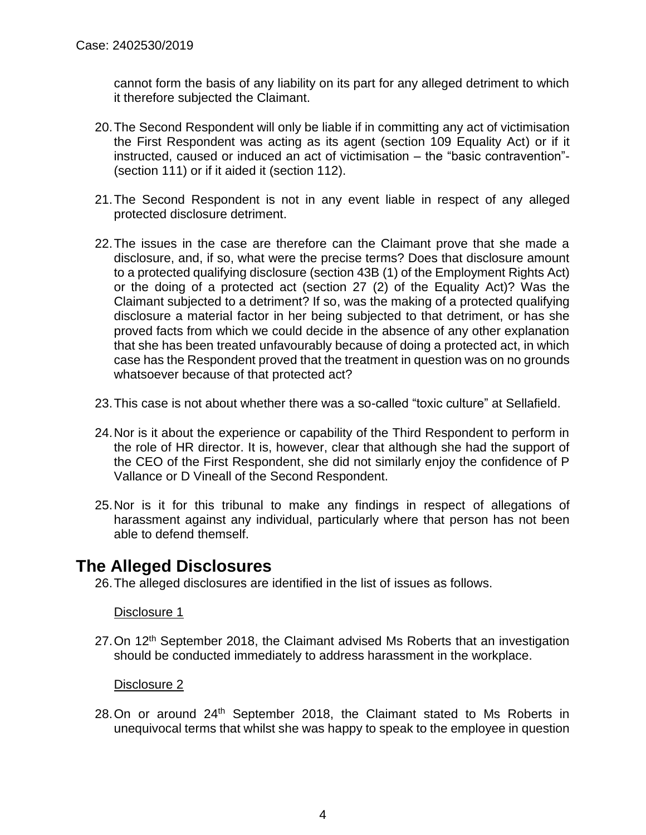cannot form the basis of any liability on its part for any alleged detriment to which it therefore subjected the Claimant.

- 20.The Second Respondent will only be liable if in committing any act of victimisation the First Respondent was acting as its agent (section 109 Equality Act) or if it instructed, caused or induced an act of victimisation – the "basic contravention"- (section 111) or if it aided it (section 112).
- 21.The Second Respondent is not in any event liable in respect of any alleged protected disclosure detriment.
- 22.The issues in the case are therefore can the Claimant prove that she made a disclosure, and, if so, what were the precise terms? Does that disclosure amount to a protected qualifying disclosure (section 43B (1) of the Employment Rights Act) or the doing of a protected act (section 27 (2) of the Equality Act)? Was the Claimant subjected to a detriment? If so, was the making of a protected qualifying disclosure a material factor in her being subjected to that detriment, or has she proved facts from which we could decide in the absence of any other explanation that she has been treated unfavourably because of doing a protected act, in which case has the Respondent proved that the treatment in question was on no grounds whatsoever because of that protected act?
- 23.This case is not about whether there was a so-called "toxic culture" at Sellafield.
- 24.Nor is it about the experience or capability of the Third Respondent to perform in the role of HR director. It is, however, clear that although she had the support of the CEO of the First Respondent, she did not similarly enjoy the confidence of P Vallance or D Vineall of the Second Respondent.
- 25.Nor is it for this tribunal to make any findings in respect of allegations of harassment against any individual, particularly where that person has not been able to defend themself.

## **The Alleged Disclosures**

26.The alleged disclosures are identified in the list of issues as follows.

## Disclosure 1

27. On 12<sup>th</sup> September 2018, the Claimant advised Ms Roberts that an investigation should be conducted immediately to address harassment in the workplace.

## Disclosure 2

28.On or around 24<sup>th</sup> September 2018, the Claimant stated to Ms Roberts in unequivocal terms that whilst she was happy to speak to the employee in question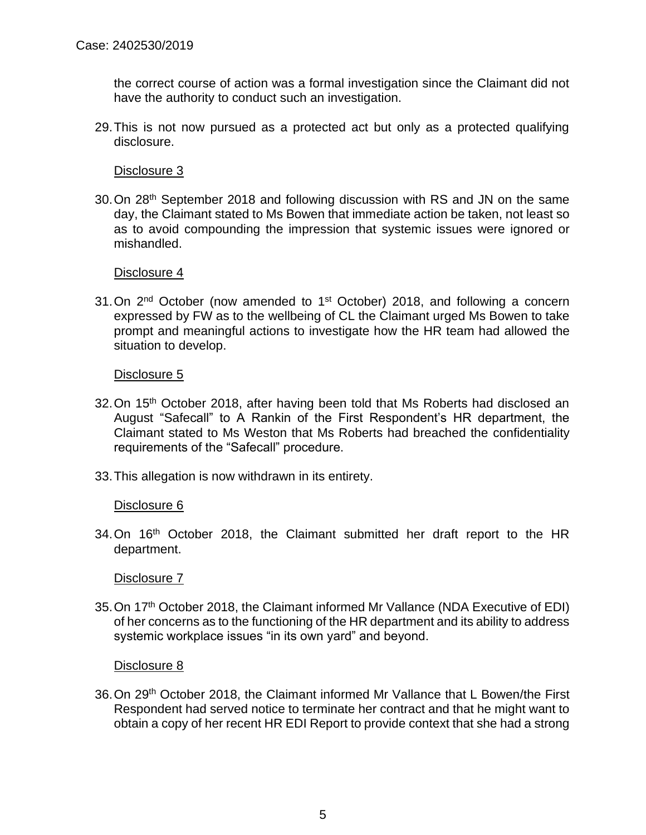the correct course of action was a formal investigation since the Claimant did not have the authority to conduct such an investigation.

29.This is not now pursued as a protected act but only as a protected qualifying disclosure.

Disclosure 3

30.On 28th September 2018 and following discussion with RS and JN on the same day, the Claimant stated to Ms Bowen that immediate action be taken, not least so as to avoid compounding the impression that systemic issues were ignored or mishandled.

Disclosure 4

31. On  $2^{nd}$  October (now amended to 1<sup>st</sup> October) 2018, and following a concern expressed by FW as to the wellbeing of CL the Claimant urged Ms Bowen to take prompt and meaningful actions to investigate how the HR team had allowed the situation to develop.

#### Disclosure 5

- 32. On 15<sup>th</sup> October 2018, after having been told that Ms Roberts had disclosed an August "Safecall" to A Rankin of the First Respondent's HR department, the Claimant stated to Ms Weston that Ms Roberts had breached the confidentiality requirements of the "Safecall" procedure.
- 33.This allegation is now withdrawn in its entirety.

## Disclosure 6

34.On 16<sup>th</sup> October 2018, the Claimant submitted her draft report to the HR department.

#### Disclosure 7

35.On 17th October 2018, the Claimant informed Mr Vallance (NDA Executive of EDI) of her concerns as to the functioning of the HR department and its ability to address systemic workplace issues "in its own yard" and beyond.

#### Disclosure 8

36.On 29th October 2018, the Claimant informed Mr Vallance that L Bowen/the First Respondent had served notice to terminate her contract and that he might want to obtain a copy of her recent HR EDI Report to provide context that she had a strong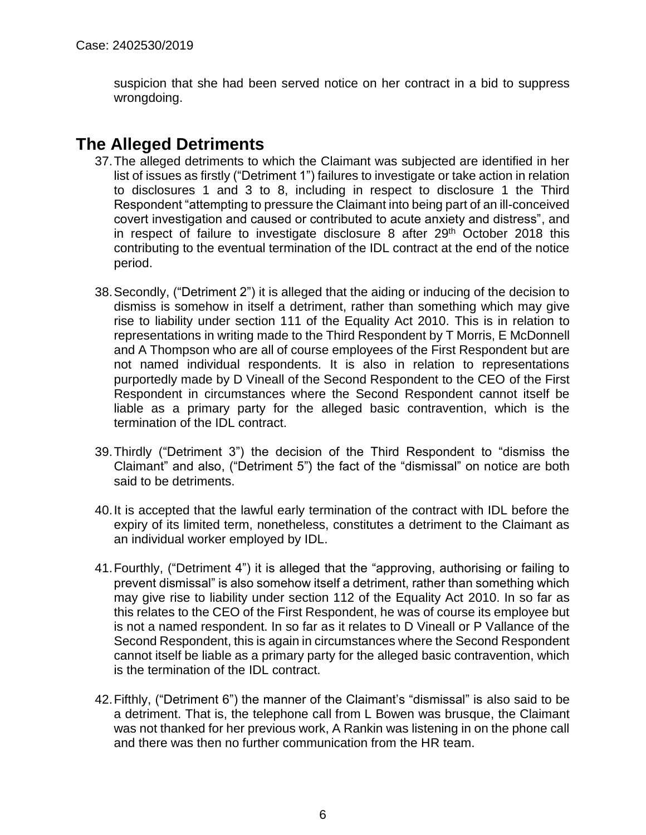suspicion that she had been served notice on her contract in a bid to suppress wrongdoing.

## **The Alleged Detriments**

- 37.The alleged detriments to which the Claimant was subjected are identified in her list of issues as firstly ("Detriment 1") failures to investigate or take action in relation to disclosures 1 and 3 to 8, including in respect to disclosure 1 the Third Respondent "attempting to pressure the Claimant into being part of an ill-conceived covert investigation and caused or contributed to acute anxiety and distress", and in respect of failure to investigate disclosure 8 after  $29<sup>th</sup>$  October 2018 this contributing to the eventual termination of the IDL contract at the end of the notice period.
- 38.Secondly, ("Detriment 2") it is alleged that the aiding or inducing of the decision to dismiss is somehow in itself a detriment, rather than something which may give rise to liability under section 111 of the Equality Act 2010. This is in relation to representations in writing made to the Third Respondent by T Morris, E McDonnell and A Thompson who are all of course employees of the First Respondent but are not named individual respondents. It is also in relation to representations purportedly made by D Vineall of the Second Respondent to the CEO of the First Respondent in circumstances where the Second Respondent cannot itself be liable as a primary party for the alleged basic contravention, which is the termination of the IDL contract.
- 39.Thirdly ("Detriment 3") the decision of the Third Respondent to "dismiss the Claimant" and also, ("Detriment 5") the fact of the "dismissal" on notice are both said to be detriments.
- 40.It is accepted that the lawful early termination of the contract with IDL before the expiry of its limited term, nonetheless, constitutes a detriment to the Claimant as an individual worker employed by IDL.
- 41.Fourthly, ("Detriment 4") it is alleged that the "approving, authorising or failing to prevent dismissal" is also somehow itself a detriment, rather than something which may give rise to liability under section 112 of the Equality Act 2010. In so far as this relates to the CEO of the First Respondent, he was of course its employee but is not a named respondent. In so far as it relates to D Vineall or P Vallance of the Second Respondent, this is again in circumstances where the Second Respondent cannot itself be liable as a primary party for the alleged basic contravention, which is the termination of the IDL contract.
- 42.Fifthly, ("Detriment 6") the manner of the Claimant's "dismissal" is also said to be a detriment. That is, the telephone call from L Bowen was brusque, the Claimant was not thanked for her previous work, A Rankin was listening in on the phone call and there was then no further communication from the HR team.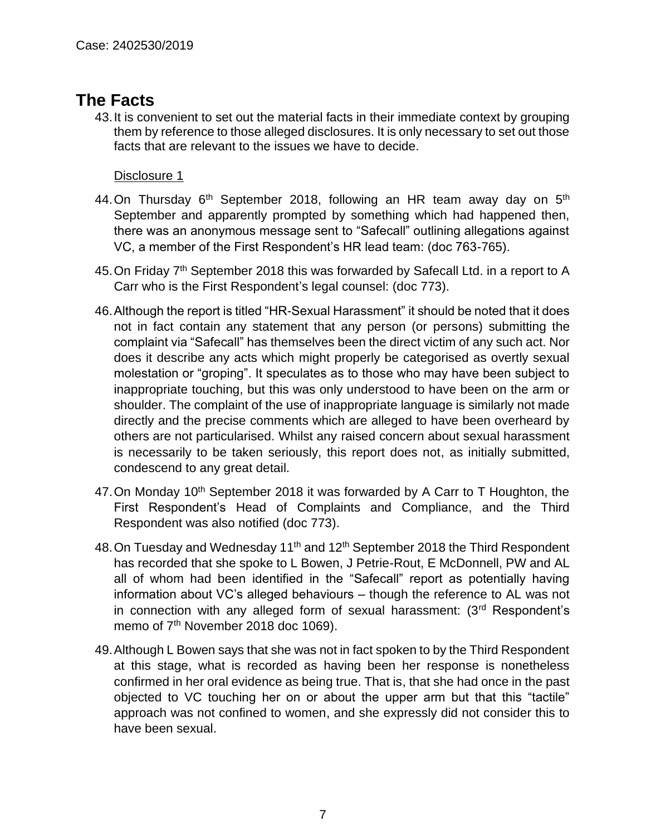## **The Facts**

43.It is convenient to set out the material facts in their immediate context by grouping them by reference to those alleged disclosures. It is only necessary to set out those facts that are relevant to the issues we have to decide.

- 44. On Thursday  $6<sup>th</sup>$  September 2018, following an HR team away day on  $5<sup>th</sup>$ September and apparently prompted by something which had happened then, there was an anonymous message sent to "Safecall" outlining allegations against VC, a member of the First Respondent's HR lead team: (doc 763-765).
- 45. On Friday 7<sup>th</sup> September 2018 this was forwarded by Safecall Ltd. in a report to A Carr who is the First Respondent's legal counsel: (doc 773).
- 46.Although the report is titled "HR-Sexual Harassment" it should be noted that it does not in fact contain any statement that any person (or persons) submitting the complaint via "Safecall" has themselves been the direct victim of any such act. Nor does it describe any acts which might properly be categorised as overtly sexual molestation or "groping". It speculates as to those who may have been subject to inappropriate touching, but this was only understood to have been on the arm or shoulder. The complaint of the use of inappropriate language is similarly not made directly and the precise comments which are alleged to have been overheard by others are not particularised. Whilst any raised concern about sexual harassment is necessarily to be taken seriously, this report does not, as initially submitted, condescend to any great detail.
- 47. On Monday 10<sup>th</sup> September 2018 it was forwarded by A Carr to T Houghton, the First Respondent's Head of Complaints and Compliance, and the Third Respondent was also notified (doc 773).
- 48. On Tuesday and Wednesday 11<sup>th</sup> and 12<sup>th</sup> September 2018 the Third Respondent has recorded that she spoke to L Bowen, J Petrie-Rout, E McDonnell, PW and AL all of whom had been identified in the "Safecall" report as potentially having information about VC's alleged behaviours – though the reference to AL was not in connection with any alleged form of sexual harassment: (3rd Respondent's memo of 7<sup>th</sup> November 2018 doc 1069).
- 49.Although L Bowen says that she was not in fact spoken to by the Third Respondent at this stage, what is recorded as having been her response is nonetheless confirmed in her oral evidence as being true. That is, that she had once in the past objected to VC touching her on or about the upper arm but that this "tactile" approach was not confined to women, and she expressly did not consider this to have been sexual.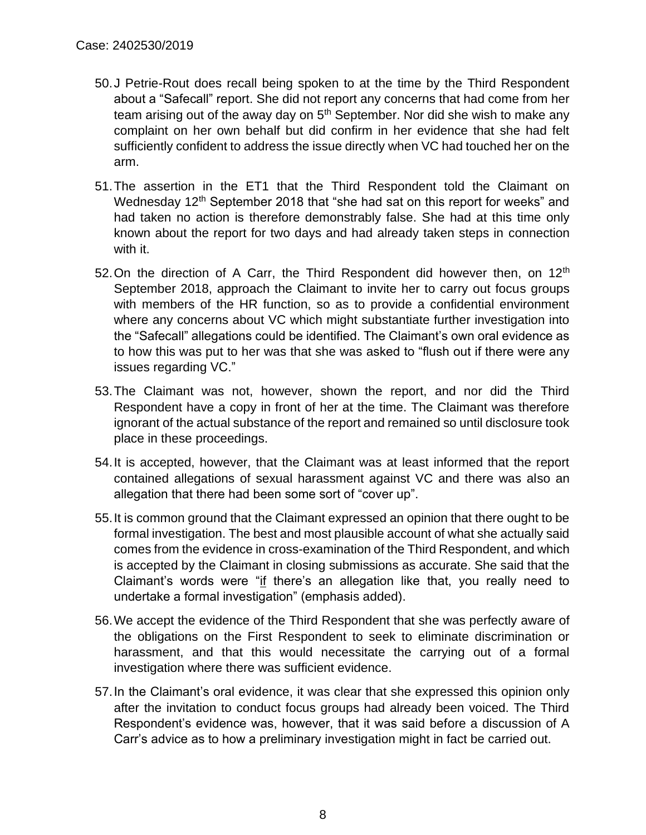- 50.J Petrie-Rout does recall being spoken to at the time by the Third Respondent about a "Safecall" report. She did not report any concerns that had come from her team arising out of the away day on  $5<sup>th</sup>$  September. Nor did she wish to make any complaint on her own behalf but did confirm in her evidence that she had felt sufficiently confident to address the issue directly when VC had touched her on the arm.
- 51.The assertion in the ET1 that the Third Respondent told the Claimant on Wednesday 12<sup>th</sup> September 2018 that "she had sat on this report for weeks" and had taken no action is therefore demonstrably false. She had at this time only known about the report for two days and had already taken steps in connection with it.
- 52. On the direction of A Carr, the Third Respondent did however then, on  $12<sup>th</sup>$ September 2018, approach the Claimant to invite her to carry out focus groups with members of the HR function, so as to provide a confidential environment where any concerns about VC which might substantiate further investigation into the "Safecall" allegations could be identified. The Claimant's own oral evidence as to how this was put to her was that she was asked to "flush out if there were any issues regarding VC."
- 53.The Claimant was not, however, shown the report, and nor did the Third Respondent have a copy in front of her at the time. The Claimant was therefore ignorant of the actual substance of the report and remained so until disclosure took place in these proceedings.
- 54.It is accepted, however, that the Claimant was at least informed that the report contained allegations of sexual harassment against VC and there was also an allegation that there had been some sort of "cover up".
- 55.It is common ground that the Claimant expressed an opinion that there ought to be formal investigation. The best and most plausible account of what she actually said comes from the evidence in cross-examination of the Third Respondent, and which is accepted by the Claimant in closing submissions as accurate. She said that the Claimant's words were "if there's an allegation like that, you really need to undertake a formal investigation" (emphasis added).
- 56.We accept the evidence of the Third Respondent that she was perfectly aware of the obligations on the First Respondent to seek to eliminate discrimination or harassment, and that this would necessitate the carrying out of a formal investigation where there was sufficient evidence.
- 57.In the Claimant's oral evidence, it was clear that she expressed this opinion only after the invitation to conduct focus groups had already been voiced. The Third Respondent's evidence was, however, that it was said before a discussion of A Carr's advice as to how a preliminary investigation might in fact be carried out.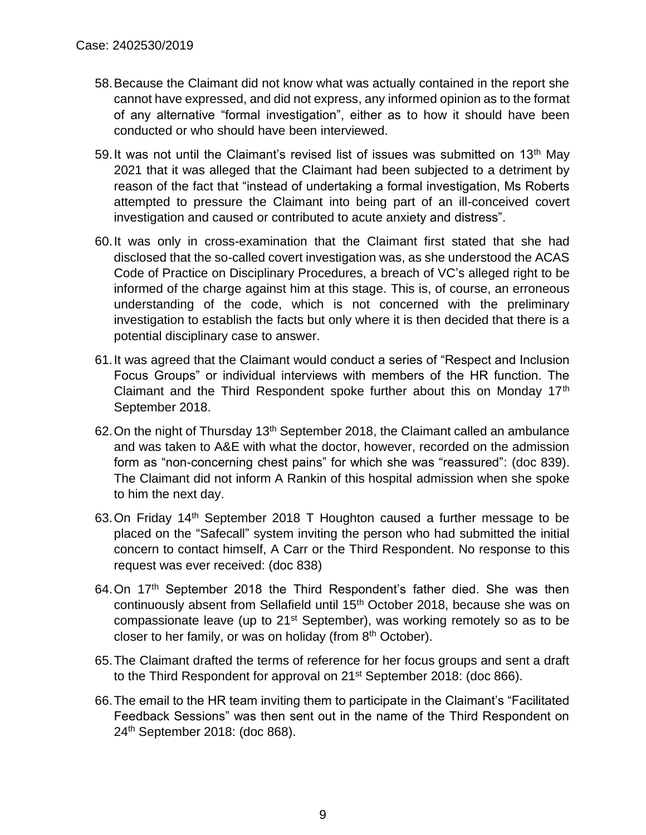- 58.Because the Claimant did not know what was actually contained in the report she cannot have expressed, and did not express, any informed opinion as to the format of any alternative "formal investigation", either as to how it should have been conducted or who should have been interviewed.
- 59. It was not until the Claimant's revised list of issues was submitted on 13<sup>th</sup> May 2021 that it was alleged that the Claimant had been subjected to a detriment by reason of the fact that "instead of undertaking a formal investigation, Ms Roberts attempted to pressure the Claimant into being part of an ill-conceived covert investigation and caused or contributed to acute anxiety and distress".
- 60.It was only in cross-examination that the Claimant first stated that she had disclosed that the so-called covert investigation was, as she understood the ACAS Code of Practice on Disciplinary Procedures, a breach of VC's alleged right to be informed of the charge against him at this stage. This is, of course, an erroneous understanding of the code, which is not concerned with the preliminary investigation to establish the facts but only where it is then decided that there is a potential disciplinary case to answer.
- 61.It was agreed that the Claimant would conduct a series of "Respect and Inclusion Focus Groups" or individual interviews with members of the HR function. The Claimant and the Third Respondent spoke further about this on Monday 17<sup>th</sup> September 2018.
- 62. On the night of Thursday 13<sup>th</sup> September 2018, the Claimant called an ambulance and was taken to A&E with what the doctor, however, recorded on the admission form as "non-concerning chest pains" for which she was "reassured": (doc 839). The Claimant did not inform A Rankin of this hospital admission when she spoke to him the next day.
- 63.On Friday 14th September 2018 T Houghton caused a further message to be placed on the "Safecall" system inviting the person who had submitted the initial concern to contact himself, A Carr or the Third Respondent. No response to this request was ever received: (doc 838)
- 64.On 17<sup>th</sup> September 2018 the Third Respondent's father died. She was then continuously absent from Sellafield until 15th October 2018, because she was on compassionate leave (up to 21<sup>st</sup> September), was working remotely so as to be closer to her family, or was on holiday (from  $8<sup>th</sup>$  October).
- 65.The Claimant drafted the terms of reference for her focus groups and sent a draft to the Third Respondent for approval on 21<sup>st</sup> September 2018: (doc 866).
- 66.The email to the HR team inviting them to participate in the Claimant's "Facilitated Feedback Sessions" was then sent out in the name of the Third Respondent on 24th September 2018: (doc 868).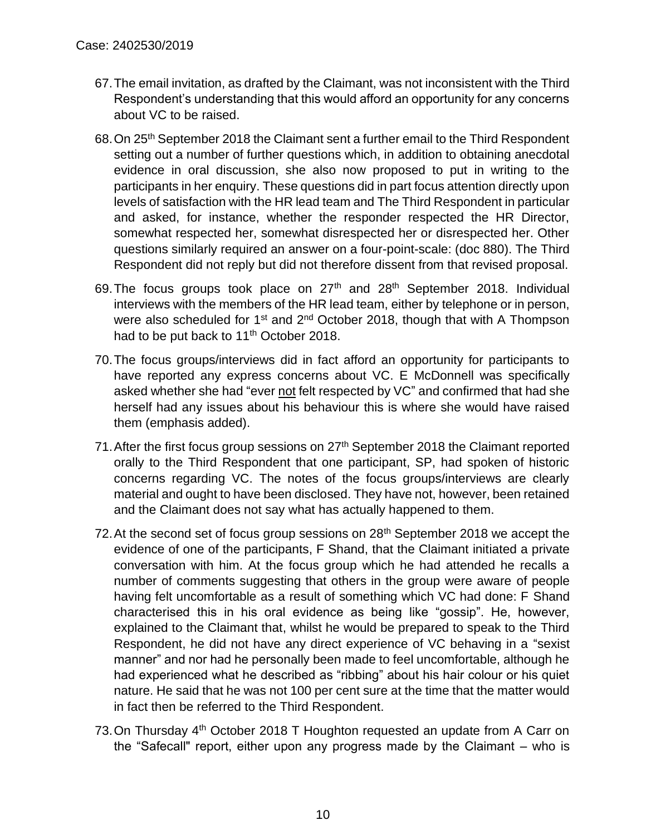- 67.The email invitation, as drafted by the Claimant, was not inconsistent with the Third Respondent's understanding that this would afford an opportunity for any concerns about VC to be raised.
- 68.On 25th September 2018 the Claimant sent a further email to the Third Respondent setting out a number of further questions which, in addition to obtaining anecdotal evidence in oral discussion, she also now proposed to put in writing to the participants in her enquiry. These questions did in part focus attention directly upon levels of satisfaction with the HR lead team and The Third Respondent in particular and asked, for instance, whether the responder respected the HR Director, somewhat respected her, somewhat disrespected her or disrespected her. Other questions similarly required an answer on a four-point-scale: (doc 880). The Third Respondent did not reply but did not therefore dissent from that revised proposal.
- 69.The focus groups took place on 27th and 28th September 2018. Individual interviews with the members of the HR lead team, either by telephone or in person, were also scheduled for 1<sup>st</sup> and 2<sup>nd</sup> October 2018, though that with A Thompson had to be put back to 11<sup>th</sup> October 2018.
- 70.The focus groups/interviews did in fact afford an opportunity for participants to have reported any express concerns about VC. E McDonnell was specifically asked whether she had "ever not felt respected by VC" and confirmed that had she herself had any issues about his behaviour this is where she would have raised them (emphasis added).
- 71. After the first focus group sessions on 27<sup>th</sup> September 2018 the Claimant reported orally to the Third Respondent that one participant, SP, had spoken of historic concerns regarding VC. The notes of the focus groups/interviews are clearly material and ought to have been disclosed. They have not, however, been retained and the Claimant does not say what has actually happened to them.
- 72. At the second set of focus group sessions on  $28<sup>th</sup>$  September 2018 we accept the evidence of one of the participants, F Shand, that the Claimant initiated a private conversation with him. At the focus group which he had attended he recalls a number of comments suggesting that others in the group were aware of people having felt uncomfortable as a result of something which VC had done: F Shand characterised this in his oral evidence as being like "gossip". He, however, explained to the Claimant that, whilst he would be prepared to speak to the Third Respondent, he did not have any direct experience of VC behaving in a "sexist manner" and nor had he personally been made to feel uncomfortable, although he had experienced what he described as "ribbing" about his hair colour or his quiet nature. He said that he was not 100 per cent sure at the time that the matter would in fact then be referred to the Third Respondent.
- 73. On Thursday 4<sup>th</sup> October 2018 T Houghton requested an update from A Carr on the "Safecall" report, either upon any progress made by the Claimant – who is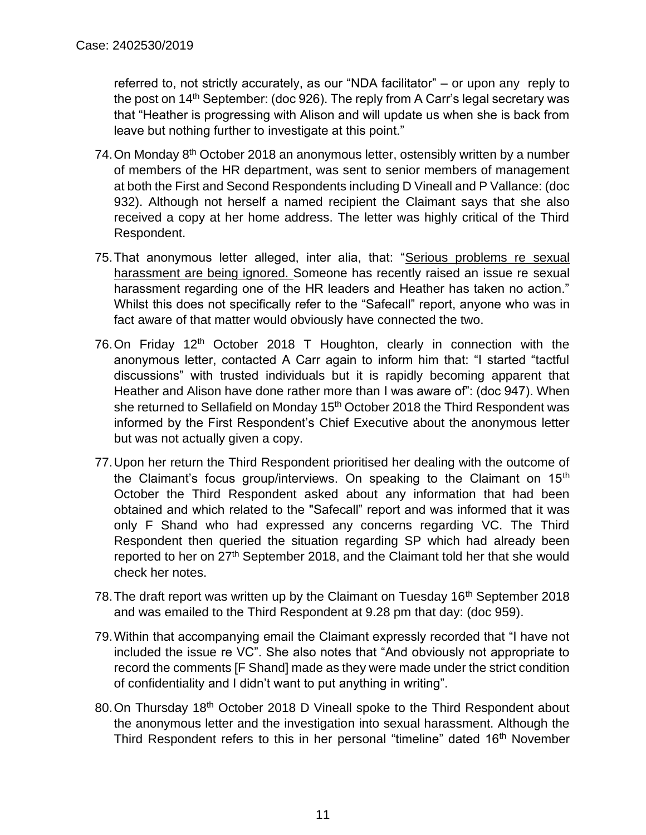referred to, not strictly accurately, as our "NDA facilitator" – or upon any reply to the post on 14<sup>th</sup> September: (doc 926). The reply from A Carr's legal secretary was that "Heather is progressing with Alison and will update us when she is back from leave but nothing further to investigate at this point."

- 74. On Monday 8<sup>th</sup> October 2018 an anonymous letter, ostensibly written by a number of members of the HR department, was sent to senior members of management at both the First and Second Respondents including D Vineall and P Vallance: (doc 932). Although not herself a named recipient the Claimant says that she also received a copy at her home address. The letter was highly critical of the Third Respondent.
- 75.That anonymous letter alleged, inter alia, that: "Serious problems re sexual harassment are being ignored. Someone has recently raised an issue re sexual harassment regarding one of the HR leaders and Heather has taken no action." Whilst this does not specifically refer to the "Safecall" report, anyone who was in fact aware of that matter would obviously have connected the two.
- 76. On Friday  $12<sup>th</sup>$  October 2018 T Houghton, clearly in connection with the anonymous letter, contacted A Carr again to inform him that: "I started "tactful discussions" with trusted individuals but it is rapidly becoming apparent that Heather and Alison have done rather more than I was aware of": (doc 947). When she returned to Sellafield on Monday 15<sup>th</sup> October 2018 the Third Respondent was informed by the First Respondent's Chief Executive about the anonymous letter but was not actually given a copy.
- 77.Upon her return the Third Respondent prioritised her dealing with the outcome of the Claimant's focus group/interviews. On speaking to the Claimant on 15<sup>th</sup> October the Third Respondent asked about any information that had been obtained and which related to the "Safecall" report and was informed that it was only F Shand who had expressed any concerns regarding VC. The Third Respondent then queried the situation regarding SP which had already been reported to her on 27<sup>th</sup> September 2018, and the Claimant told her that she would check her notes.
- 78. The draft report was written up by the Claimant on Tuesday 16<sup>th</sup> September 2018 and was emailed to the Third Respondent at 9.28 pm that day: (doc 959).
- 79.Within that accompanying email the Claimant expressly recorded that "I have not included the issue re VC". She also notes that "And obviously not appropriate to record the comments [F Shand] made as they were made under the strict condition of confidentiality and I didn't want to put anything in writing".
- 80. On Thursday 18<sup>th</sup> October 2018 D Vineall spoke to the Third Respondent about the anonymous letter and the investigation into sexual harassment. Although the Third Respondent refers to this in her personal "timeline" dated 16<sup>th</sup> November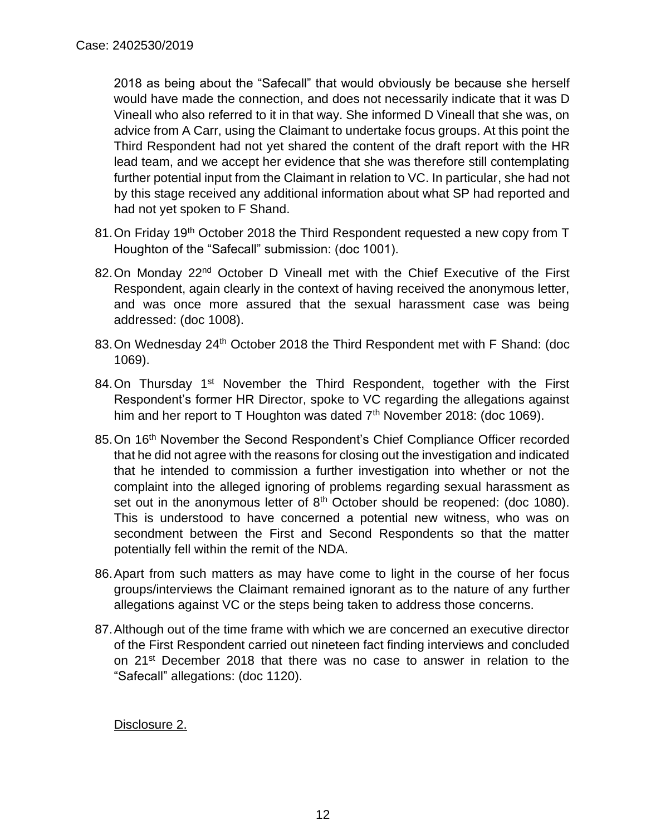2018 as being about the "Safecall" that would obviously be because she herself would have made the connection, and does not necessarily indicate that it was D Vineall who also referred to it in that way. She informed D Vineall that she was, on advice from A Carr, using the Claimant to undertake focus groups. At this point the Third Respondent had not yet shared the content of the draft report with the HR lead team, and we accept her evidence that she was therefore still contemplating further potential input from the Claimant in relation to VC. In particular, she had not by this stage received any additional information about what SP had reported and had not yet spoken to F Shand.

- 81. On Friday 19<sup>th</sup> October 2018 the Third Respondent requested a new copy from T Houghton of the "Safecall" submission: (doc 1001).
- 82. On Monday 22<sup>nd</sup> October D Vineall met with the Chief Executive of the First Respondent, again clearly in the context of having received the anonymous letter, and was once more assured that the sexual harassment case was being addressed: (doc 1008).
- 83. On Wednesday 24<sup>th</sup> October 2018 the Third Respondent met with F Shand: (doc 1069).
- 84. On Thursday 1<sup>st</sup> November the Third Respondent, together with the First Respondent's former HR Director, spoke to VC regarding the allegations against him and her report to T Houghton was dated 7<sup>th</sup> November 2018: (doc 1069).
- 85.On 16th November the Second Respondent's Chief Compliance Officer recorded that he did not agree with the reasons for closing out the investigation and indicated that he intended to commission a further investigation into whether or not the complaint into the alleged ignoring of problems regarding sexual harassment as set out in the anonymous letter of  $8<sup>th</sup>$  October should be reopened: (doc 1080). This is understood to have concerned a potential new witness, who was on secondment between the First and Second Respondents so that the matter potentially fell within the remit of the NDA.
- 86.Apart from such matters as may have come to light in the course of her focus groups/interviews the Claimant remained ignorant as to the nature of any further allegations against VC or the steps being taken to address those concerns.
- 87.Although out of the time frame with which we are concerned an executive director of the First Respondent carried out nineteen fact finding interviews and concluded on 21<sup>st</sup> December 2018 that there was no case to answer in relation to the "Safecall" allegations: (doc 1120).

Disclosure 2.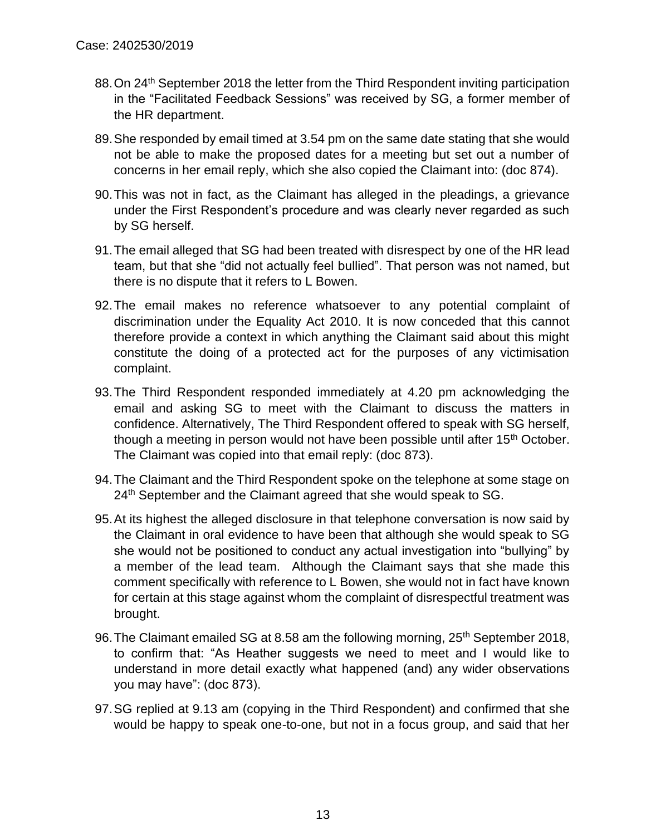- 88. On 24<sup>th</sup> September 2018 the letter from the Third Respondent inviting participation in the "Facilitated Feedback Sessions" was received by SG, a former member of the HR department.
- 89.She responded by email timed at 3.54 pm on the same date stating that she would not be able to make the proposed dates for a meeting but set out a number of concerns in her email reply, which she also copied the Claimant into: (doc 874).
- 90.This was not in fact, as the Claimant has alleged in the pleadings, a grievance under the First Respondent's procedure and was clearly never regarded as such by SG herself.
- 91.The email alleged that SG had been treated with disrespect by one of the HR lead team, but that she "did not actually feel bullied". That person was not named, but there is no dispute that it refers to L Bowen.
- 92.The email makes no reference whatsoever to any potential complaint of discrimination under the Equality Act 2010. It is now conceded that this cannot therefore provide a context in which anything the Claimant said about this might constitute the doing of a protected act for the purposes of any victimisation complaint.
- 93.The Third Respondent responded immediately at 4.20 pm acknowledging the email and asking SG to meet with the Claimant to discuss the matters in confidence. Alternatively, The Third Respondent offered to speak with SG herself, though a meeting in person would not have been possible until after 15<sup>th</sup> October. The Claimant was copied into that email reply: (doc 873).
- 94.The Claimant and the Third Respondent spoke on the telephone at some stage on 24<sup>th</sup> September and the Claimant agreed that she would speak to SG.
- 95.At its highest the alleged disclosure in that telephone conversation is now said by the Claimant in oral evidence to have been that although she would speak to SG she would not be positioned to conduct any actual investigation into "bullying" by a member of the lead team. Although the Claimant says that she made this comment specifically with reference to L Bowen, she would not in fact have known for certain at this stage against whom the complaint of disrespectful treatment was brought.
- 96. The Claimant emailed SG at 8.58 am the following morning, 25<sup>th</sup> September 2018, to confirm that: "As Heather suggests we need to meet and I would like to understand in more detail exactly what happened (and) any wider observations you may have": (doc 873).
- 97.SG replied at 9.13 am (copying in the Third Respondent) and confirmed that she would be happy to speak one-to-one, but not in a focus group, and said that her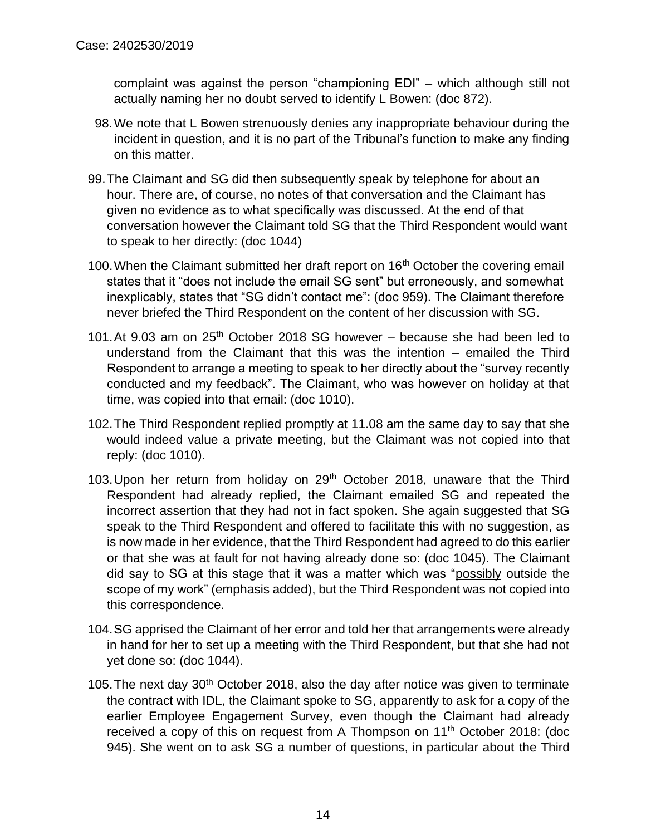complaint was against the person "championing EDI" – which although still not actually naming her no doubt served to identify L Bowen: (doc 872).

- 98.We note that L Bowen strenuously denies any inappropriate behaviour during the incident in question, and it is no part of the Tribunal's function to make any finding on this matter.
- 99.The Claimant and SG did then subsequently speak by telephone for about an hour. There are, of course, no notes of that conversation and the Claimant has given no evidence as to what specifically was discussed. At the end of that conversation however the Claimant told SG that the Third Respondent would want to speak to her directly: (doc 1044)
- 100. When the Claimant submitted her draft report on 16<sup>th</sup> October the covering email states that it "does not include the email SG sent" but erroneously, and somewhat inexplicably, states that "SG didn't contact me": (doc 959). The Claimant therefore never briefed the Third Respondent on the content of her discussion with SG.
- 101. At 9.03 am on  $25<sup>th</sup>$  October 2018 SG however because she had been led to understand from the Claimant that this was the intention  $-$  emailed the Third Respondent to arrange a meeting to speak to her directly about the "survey recently conducted and my feedback". The Claimant, who was however on holiday at that time, was copied into that email: (doc 1010).
- 102.The Third Respondent replied promptly at 11.08 am the same day to say that she would indeed value a private meeting, but the Claimant was not copied into that reply: (doc 1010).
- 103.Upon her return from holiday on 29th October 2018, unaware that the Third Respondent had already replied, the Claimant emailed SG and repeated the incorrect assertion that they had not in fact spoken. She again suggested that SG speak to the Third Respondent and offered to facilitate this with no suggestion, as is now made in her evidence, that the Third Respondent had agreed to do this earlier or that she was at fault for not having already done so: (doc 1045). The Claimant did say to SG at this stage that it was a matter which was "possibly outside the scope of my work" (emphasis added), but the Third Respondent was not copied into this correspondence.
- 104.SG apprised the Claimant of her error and told her that arrangements were already in hand for her to set up a meeting with the Third Respondent, but that she had not yet done so: (doc 1044).
- 105. The next day 30<sup>th</sup> October 2018, also the day after notice was given to terminate the contract with IDL, the Claimant spoke to SG, apparently to ask for a copy of the earlier Employee Engagement Survey, even though the Claimant had already received a copy of this on request from A Thompson on 11<sup>th</sup> October 2018: (doc 945). She went on to ask SG a number of questions, in particular about the Third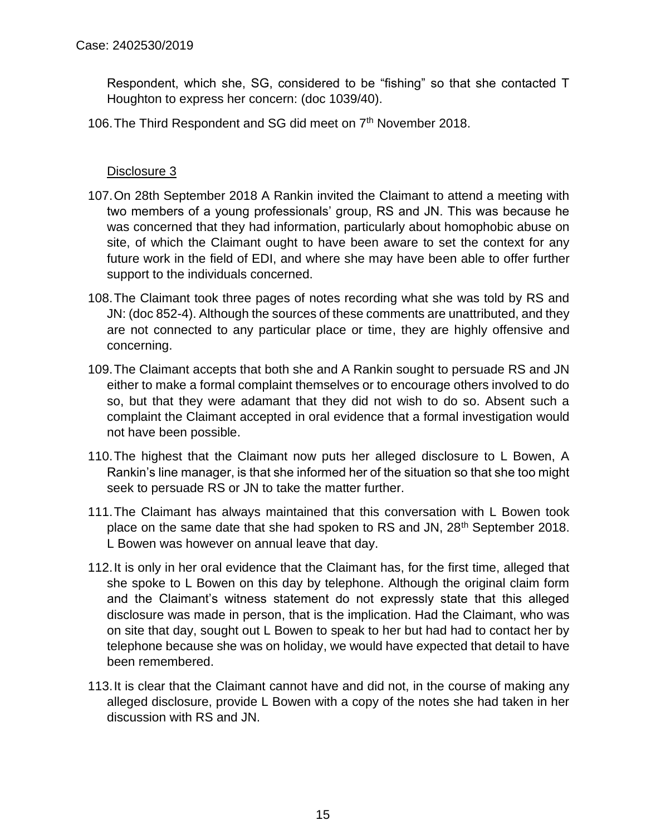Respondent, which she, SG, considered to be "fishing" so that she contacted T Houghton to express her concern: (doc 1039/40).

106. The Third Respondent and SG did meet on 7<sup>th</sup> November 2018.

- 107.On 28th September 2018 A Rankin invited the Claimant to attend a meeting with two members of a young professionals' group, RS and JN. This was because he was concerned that they had information, particularly about homophobic abuse on site, of which the Claimant ought to have been aware to set the context for any future work in the field of EDI, and where she may have been able to offer further support to the individuals concerned.
- 108.The Claimant took three pages of notes recording what she was told by RS and JN: (doc 852-4). Although the sources of these comments are unattributed, and they are not connected to any particular place or time, they are highly offensive and concerning.
- 109.The Claimant accepts that both she and A Rankin sought to persuade RS and JN either to make a formal complaint themselves or to encourage others involved to do so, but that they were adamant that they did not wish to do so. Absent such a complaint the Claimant accepted in oral evidence that a formal investigation would not have been possible.
- 110.The highest that the Claimant now puts her alleged disclosure to L Bowen, A Rankin's line manager, is that she informed her of the situation so that she too might seek to persuade RS or JN to take the matter further.
- 111.The Claimant has always maintained that this conversation with L Bowen took place on the same date that she had spoken to RS and JN, 28<sup>th</sup> September 2018. L Bowen was however on annual leave that day.
- 112.It is only in her oral evidence that the Claimant has, for the first time, alleged that she spoke to L Bowen on this day by telephone. Although the original claim form and the Claimant's witness statement do not expressly state that this alleged disclosure was made in person, that is the implication. Had the Claimant, who was on site that day, sought out L Bowen to speak to her but had had to contact her by telephone because she was on holiday, we would have expected that detail to have been remembered.
- 113.It is clear that the Claimant cannot have and did not, in the course of making any alleged disclosure, provide L Bowen with a copy of the notes she had taken in her discussion with RS and JN.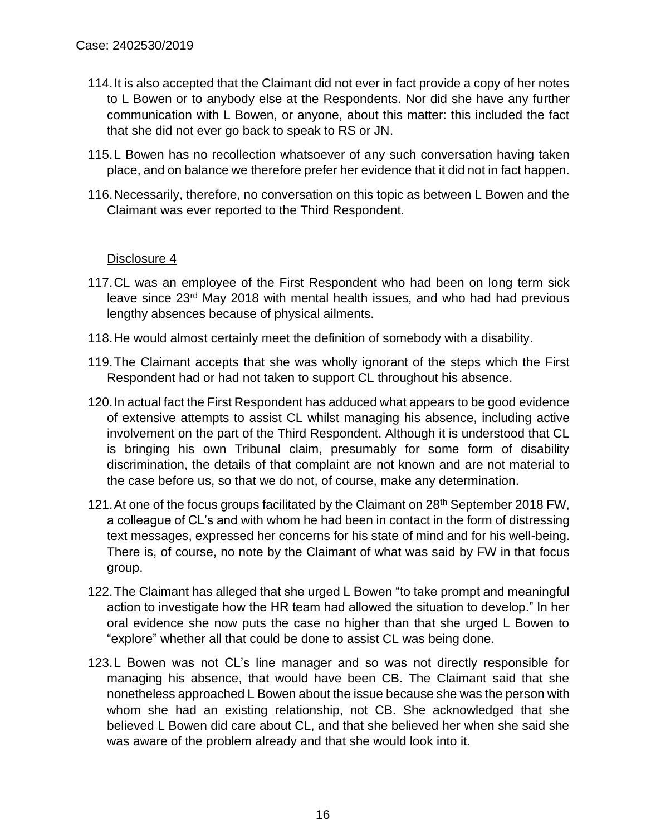- 114.It is also accepted that the Claimant did not ever in fact provide a copy of her notes to L Bowen or to anybody else at the Respondents. Nor did she have any further communication with L Bowen, or anyone, about this matter: this included the fact that she did not ever go back to speak to RS or JN.
- 115.L Bowen has no recollection whatsoever of any such conversation having taken place, and on balance we therefore prefer her evidence that it did not in fact happen.
- 116.Necessarily, therefore, no conversation on this topic as between L Bowen and the Claimant was ever reported to the Third Respondent.

- 117.CL was an employee of the First Respondent who had been on long term sick leave since 23<sup>rd</sup> May 2018 with mental health issues, and who had had previous lengthy absences because of physical ailments.
- 118.He would almost certainly meet the definition of somebody with a disability.
- 119.The Claimant accepts that she was wholly ignorant of the steps which the First Respondent had or had not taken to support CL throughout his absence.
- 120.In actual fact the First Respondent has adduced what appears to be good evidence of extensive attempts to assist CL whilst managing his absence, including active involvement on the part of the Third Respondent. Although it is understood that CL is bringing his own Tribunal claim, presumably for some form of disability discrimination, the details of that complaint are not known and are not material to the case before us, so that we do not, of course, make any determination.
- 121. At one of the focus groups facilitated by the Claimant on 28<sup>th</sup> September 2018 FW, a colleague of CL's and with whom he had been in contact in the form of distressing text messages, expressed her concerns for his state of mind and for his well-being. There is, of course, no note by the Claimant of what was said by FW in that focus group.
- 122.The Claimant has alleged that she urged L Bowen "to take prompt and meaningful action to investigate how the HR team had allowed the situation to develop." In her oral evidence she now puts the case no higher than that she urged L Bowen to "explore" whether all that could be done to assist CL was being done.
- 123.L Bowen was not CL's line manager and so was not directly responsible for managing his absence, that would have been CB. The Claimant said that she nonetheless approached L Bowen about the issue because she was the person with whom she had an existing relationship, not CB. She acknowledged that she believed L Bowen did care about CL, and that she believed her when she said she was aware of the problem already and that she would look into it.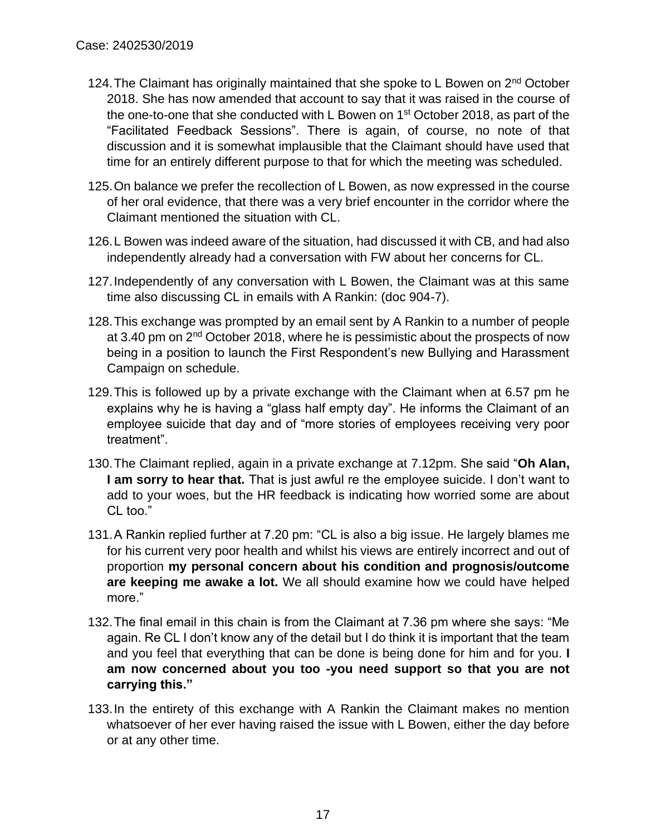- 124. The Claimant has originally maintained that she spoke to L Bowen on 2<sup>nd</sup> October 2018. She has now amended that account to say that it was raised in the course of the one-to-one that she conducted with L Bowen on 1<sup>st</sup> October 2018, as part of the "Facilitated Feedback Sessions". There is again, of course, no note of that discussion and it is somewhat implausible that the Claimant should have used that time for an entirely different purpose to that for which the meeting was scheduled.
- 125.On balance we prefer the recollection of L Bowen, as now expressed in the course of her oral evidence, that there was a very brief encounter in the corridor where the Claimant mentioned the situation with CL.
- 126.L Bowen was indeed aware of the situation, had discussed it with CB, and had also independently already had a conversation with FW about her concerns for CL.
- 127.Independently of any conversation with L Bowen, the Claimant was at this same time also discussing CL in emails with A Rankin: (doc 904-7).
- 128.This exchange was prompted by an email sent by A Rankin to a number of people at 3.40 pm on 2<sup>nd</sup> October 2018, where he is pessimistic about the prospects of now being in a position to launch the First Respondent's new Bullying and Harassment Campaign on schedule.
- 129.This is followed up by a private exchange with the Claimant when at 6.57 pm he explains why he is having a "glass half empty day". He informs the Claimant of an employee suicide that day and of "more stories of employees receiving very poor treatment".
- 130.The Claimant replied, again in a private exchange at 7.12pm. She said "**Oh Alan, I am sorry to hear that.** That is just awful re the employee suicide. I don't want to add to your woes, but the HR feedback is indicating how worried some are about CL too."
- 131.A Rankin replied further at 7.20 pm: "CL is also a big issue. He largely blames me for his current very poor health and whilst his views are entirely incorrect and out of proportion **my personal concern about his condition and prognosis/outcome are keeping me awake a lot.** We all should examine how we could have helped more."
- 132.The final email in this chain is from the Claimant at 7.36 pm where she says: "Me again. Re CL I don't know any of the detail but I do think it is important that the team and you feel that everything that can be done is being done for him and for you. **I am now concerned about you too -you need support so that you are not carrying this."**
- 133.In the entirety of this exchange with A Rankin the Claimant makes no mention whatsoever of her ever having raised the issue with L Bowen, either the day before or at any other time.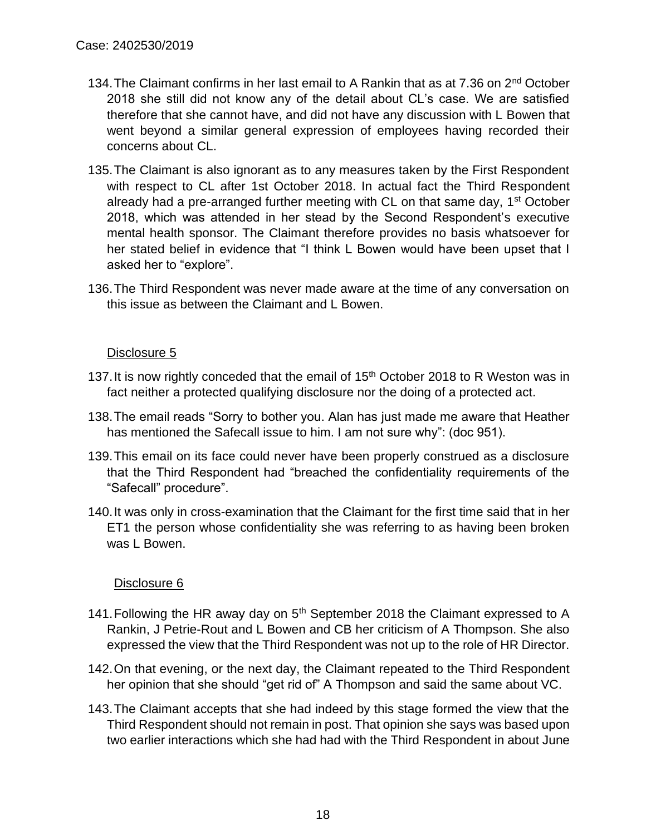- 134. The Claimant confirms in her last email to A Rankin that as at 7.36 on 2<sup>nd</sup> October 2018 she still did not know any of the detail about CL's case. We are satisfied therefore that she cannot have, and did not have any discussion with L Bowen that went beyond a similar general expression of employees having recorded their concerns about CL.
- 135.The Claimant is also ignorant as to any measures taken by the First Respondent with respect to CL after 1st October 2018. In actual fact the Third Respondent already had a pre-arranged further meeting with CL on that same day, 1<sup>st</sup> October 2018, which was attended in her stead by the Second Respondent's executive mental health sponsor. The Claimant therefore provides no basis whatsoever for her stated belief in evidence that "I think L Bowen would have been upset that I asked her to "explore".
- 136.The Third Respondent was never made aware at the time of any conversation on this issue as between the Claimant and L Bowen.

## Disclosure 5

- 137. It is now rightly conceded that the email of  $15<sup>th</sup>$  October 2018 to R Weston was in fact neither a protected qualifying disclosure nor the doing of a protected act.
- 138.The email reads "Sorry to bother you. Alan has just made me aware that Heather has mentioned the Safecall issue to him. I am not sure why": (doc 951).
- 139.This email on its face could never have been properly construed as a disclosure that the Third Respondent had "breached the confidentiality requirements of the "Safecall" procedure".
- 140.It was only in cross-examination that the Claimant for the first time said that in her ET1 the person whose confidentiality she was referring to as having been broken was L Bowen.

- 141. Following the HR away day on  $5<sup>th</sup>$  September 2018 the Claimant expressed to A Rankin, J Petrie-Rout and L Bowen and CB her criticism of A Thompson. She also expressed the view that the Third Respondent was not up to the role of HR Director.
- 142.On that evening, or the next day, the Claimant repeated to the Third Respondent her opinion that she should "get rid of" A Thompson and said the same about VC.
- 143.The Claimant accepts that she had indeed by this stage formed the view that the Third Respondent should not remain in post. That opinion she says was based upon two earlier interactions which she had had with the Third Respondent in about June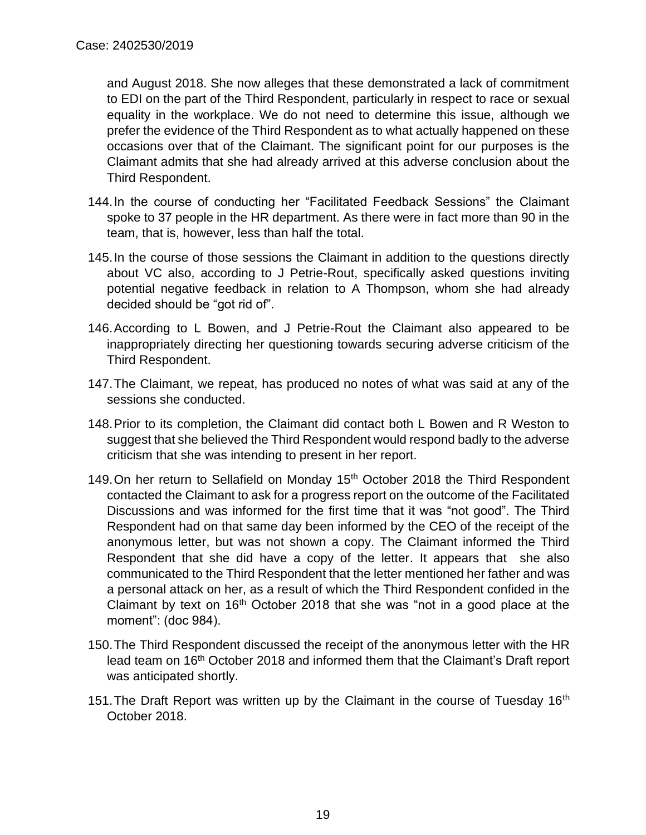and August 2018. She now alleges that these demonstrated a lack of commitment to EDI on the part of the Third Respondent, particularly in respect to race or sexual equality in the workplace. We do not need to determine this issue, although we prefer the evidence of the Third Respondent as to what actually happened on these occasions over that of the Claimant. The significant point for our purposes is the Claimant admits that she had already arrived at this adverse conclusion about the Third Respondent.

- 144.In the course of conducting her "Facilitated Feedback Sessions" the Claimant spoke to 37 people in the HR department. As there were in fact more than 90 in the team, that is, however, less than half the total.
- 145.In the course of those sessions the Claimant in addition to the questions directly about VC also, according to J Petrie-Rout, specifically asked questions inviting potential negative feedback in relation to A Thompson, whom she had already decided should be "got rid of".
- 146.According to L Bowen, and J Petrie-Rout the Claimant also appeared to be inappropriately directing her questioning towards securing adverse criticism of the Third Respondent.
- 147.The Claimant, we repeat, has produced no notes of what was said at any of the sessions she conducted.
- 148.Prior to its completion, the Claimant did contact both L Bowen and R Weston to suggest that she believed the Third Respondent would respond badly to the adverse criticism that she was intending to present in her report.
- 149. On her return to Sellafield on Monday 15<sup>th</sup> October 2018 the Third Respondent contacted the Claimant to ask for a progress report on the outcome of the Facilitated Discussions and was informed for the first time that it was "not good". The Third Respondent had on that same day been informed by the CEO of the receipt of the anonymous letter, but was not shown a copy. The Claimant informed the Third Respondent that she did have a copy of the letter. It appears that she also communicated to the Third Respondent that the letter mentioned her father and was a personal attack on her, as a result of which the Third Respondent confided in the Claimant by text on  $16<sup>th</sup>$  October 2018 that she was "not in a good place at the moment": (doc 984).
- 150.The Third Respondent discussed the receipt of the anonymous letter with the HR lead team on 16<sup>th</sup> October 2018 and informed them that the Claimant's Draft report was anticipated shortly.
- 151. The Draft Report was written up by the Claimant in the course of Tuesday 16<sup>th</sup> October 2018.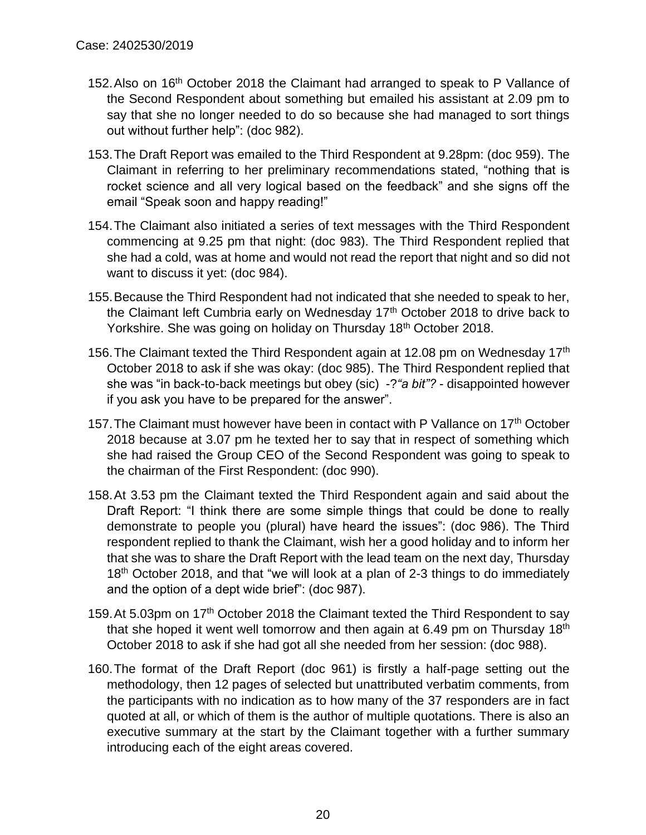- 152.Also on 16th October 2018 the Claimant had arranged to speak to P Vallance of the Second Respondent about something but emailed his assistant at 2.09 pm to say that she no longer needed to do so because she had managed to sort things out without further help": (doc 982).
- 153.The Draft Report was emailed to the Third Respondent at 9.28pm: (doc 959). The Claimant in referring to her preliminary recommendations stated, "nothing that is rocket science and all very logical based on the feedback" and she signs off the email "Speak soon and happy reading!"
- 154.The Claimant also initiated a series of text messages with the Third Respondent commencing at 9.25 pm that night: (doc 983). The Third Respondent replied that she had a cold, was at home and would not read the report that night and so did not want to discuss it yet: (doc 984).
- 155.Because the Third Respondent had not indicated that she needed to speak to her, the Claimant left Cumbria early on Wednesday 17<sup>th</sup> October 2018 to drive back to Yorkshire. She was going on holiday on Thursday 18th October 2018.
- 156. The Claimant texted the Third Respondent again at 12.08 pm on Wednesday 17<sup>th</sup> October 2018 to ask if she was okay: (doc 985). The Third Respondent replied that she was "in back-to-back meetings but obey (sic) -?*"a bit"?* - disappointed however if you ask you have to be prepared for the answer".
- 157. The Claimant must however have been in contact with P Vallance on 17<sup>th</sup> October 2018 because at 3.07 pm he texted her to say that in respect of something which she had raised the Group CEO of the Second Respondent was going to speak to the chairman of the First Respondent: (doc 990).
- 158.At 3.53 pm the Claimant texted the Third Respondent again and said about the Draft Report: "I think there are some simple things that could be done to really demonstrate to people you (plural) have heard the issues": (doc 986). The Third respondent replied to thank the Claimant, wish her a good holiday and to inform her that she was to share the Draft Report with the lead team on the next day, Thursday 18<sup>th</sup> October 2018, and that "we will look at a plan of 2-3 things to do immediately and the option of a dept wide brief": (doc 987).
- 159. At 5.03pm on 17<sup>th</sup> October 2018 the Claimant texted the Third Respondent to say that she hoped it went well tomorrow and then again at 6.49 pm on Thursday 18<sup>th</sup> October 2018 to ask if she had got all she needed from her session: (doc 988).
- 160.The format of the Draft Report (doc 961) is firstly a half-page setting out the methodology, then 12 pages of selected but unattributed verbatim comments, from the participants with no indication as to how many of the 37 responders are in fact quoted at all, or which of them is the author of multiple quotations. There is also an executive summary at the start by the Claimant together with a further summary introducing each of the eight areas covered.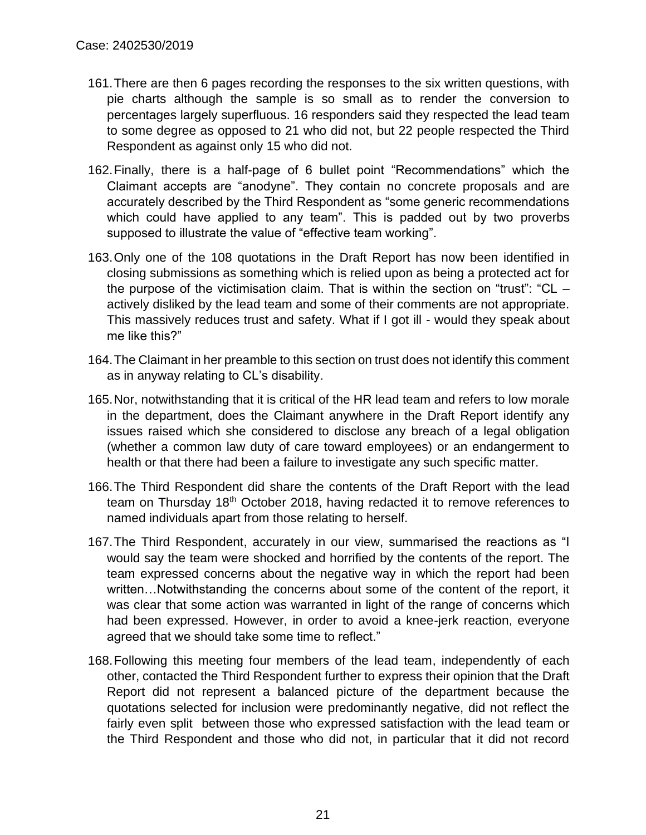- 161.There are then 6 pages recording the responses to the six written questions, with pie charts although the sample is so small as to render the conversion to percentages largely superfluous. 16 responders said they respected the lead team to some degree as opposed to 21 who did not, but 22 people respected the Third Respondent as against only 15 who did not.
- 162.Finally, there is a half-page of 6 bullet point "Recommendations" which the Claimant accepts are "anodyne". They contain no concrete proposals and are accurately described by the Third Respondent as "some generic recommendations which could have applied to any team". This is padded out by two proverbs supposed to illustrate the value of "effective team working".
- 163.Only one of the 108 quotations in the Draft Report has now been identified in closing submissions as something which is relied upon as being a protected act for the purpose of the victimisation claim. That is within the section on "trust": "CL – actively disliked by the lead team and some of their comments are not appropriate. This massively reduces trust and safety. What if I got ill - would they speak about me like this?"
- 164.The Claimant in her preamble to this section on trust does not identify this comment as in anyway relating to CL's disability.
- 165.Nor, notwithstanding that it is critical of the HR lead team and refers to low morale in the department, does the Claimant anywhere in the Draft Report identify any issues raised which she considered to disclose any breach of a legal obligation (whether a common law duty of care toward employees) or an endangerment to health or that there had been a failure to investigate any such specific matter.
- 166.The Third Respondent did share the contents of the Draft Report with the lead team on Thursday 18<sup>th</sup> October 2018, having redacted it to remove references to named individuals apart from those relating to herself.
- 167.The Third Respondent, accurately in our view, summarised the reactions as "I would say the team were shocked and horrified by the contents of the report. The team expressed concerns about the negative way in which the report had been written…Notwithstanding the concerns about some of the content of the report, it was clear that some action was warranted in light of the range of concerns which had been expressed. However, in order to avoid a knee-jerk reaction, everyone agreed that we should take some time to reflect."
- 168.Following this meeting four members of the lead team, independently of each other, contacted the Third Respondent further to express their opinion that the Draft Report did not represent a balanced picture of the department because the quotations selected for inclusion were predominantly negative, did not reflect the fairly even split between those who expressed satisfaction with the lead team or the Third Respondent and those who did not, in particular that it did not record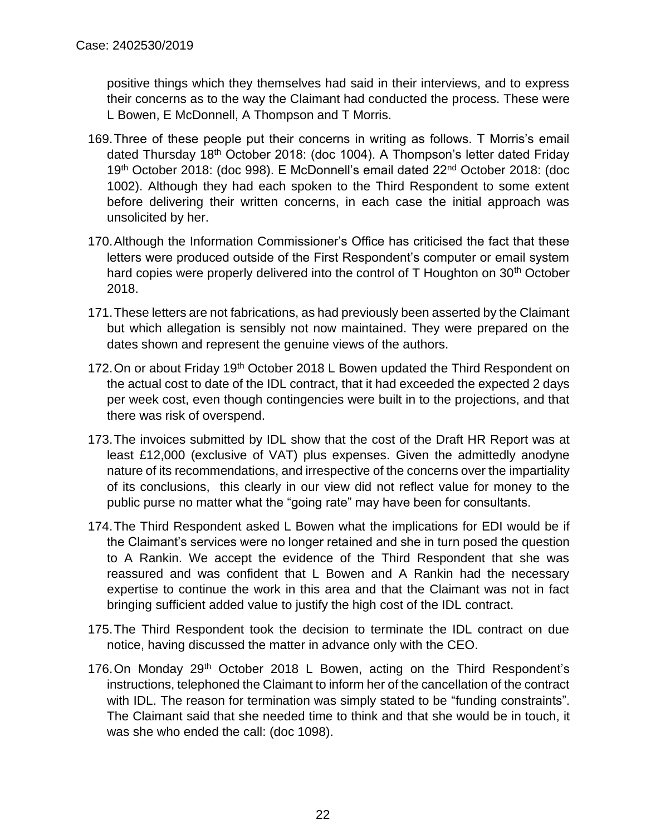positive things which they themselves had said in their interviews, and to express their concerns as to the way the Claimant had conducted the process. These were L Bowen, E McDonnell, A Thompson and T Morris.

- 169.Three of these people put their concerns in writing as follows. T Morris's email dated Thursday 18th October 2018: (doc 1004). A Thompson's letter dated Friday 19th October 2018: (doc 998). E McDonnell's email dated 22nd October 2018: (doc 1002). Although they had each spoken to the Third Respondent to some extent before delivering their written concerns, in each case the initial approach was unsolicited by her.
- 170.Although the Information Commissioner's Office has criticised the fact that these letters were produced outside of the First Respondent's computer or email system hard copies were properly delivered into the control of T Houghton on 30<sup>th</sup> October 2018.
- 171.These letters are not fabrications, as had previously been asserted by the Claimant but which allegation is sensibly not now maintained. They were prepared on the dates shown and represent the genuine views of the authors.
- 172. On or about Friday 19<sup>th</sup> October 2018 L Bowen updated the Third Respondent on the actual cost to date of the IDL contract, that it had exceeded the expected 2 days per week cost, even though contingencies were built in to the projections, and that there was risk of overspend.
- 173.The invoices submitted by IDL show that the cost of the Draft HR Report was at least £12,000 (exclusive of VAT) plus expenses. Given the admittedly anodyne nature of its recommendations, and irrespective of the concerns over the impartiality of its conclusions, this clearly in our view did not reflect value for money to the public purse no matter what the "going rate" may have been for consultants.
- 174.The Third Respondent asked L Bowen what the implications for EDI would be if the Claimant's services were no longer retained and she in turn posed the question to A Rankin. We accept the evidence of the Third Respondent that she was reassured and was confident that L Bowen and A Rankin had the necessary expertise to continue the work in this area and that the Claimant was not in fact bringing sufficient added value to justify the high cost of the IDL contract.
- 175.The Third Respondent took the decision to terminate the IDL contract on due notice, having discussed the matter in advance only with the CEO.
- 176.On Monday 29<sup>th</sup> October 2018 L Bowen, acting on the Third Respondent's instructions, telephoned the Claimant to inform her of the cancellation of the contract with IDL. The reason for termination was simply stated to be "funding constraints". The Claimant said that she needed time to think and that she would be in touch, it was she who ended the call: (doc 1098).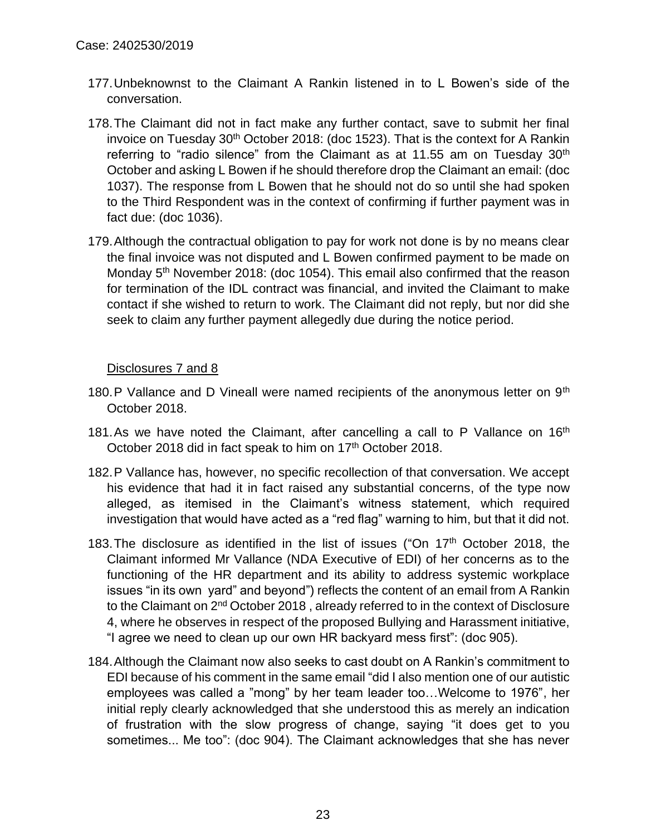- 177.Unbeknownst to the Claimant A Rankin listened in to L Bowen's side of the conversation.
- 178.The Claimant did not in fact make any further contact, save to submit her final invoice on Tuesday  $30<sup>th</sup>$  October 2018: (doc 1523). That is the context for A Rankin referring to "radio silence" from the Claimant as at 11.55 am on Tuesday  $30<sup>th</sup>$ October and asking L Bowen if he should therefore drop the Claimant an email: (doc 1037). The response from L Bowen that he should not do so until she had spoken to the Third Respondent was in the context of confirming if further payment was in fact due: (doc 1036).
- 179.Although the contractual obligation to pay for work not done is by no means clear the final invoice was not disputed and L Bowen confirmed payment to be made on Monday 5<sup>th</sup> November 2018: (doc 1054). This email also confirmed that the reason for termination of the IDL contract was financial, and invited the Claimant to make contact if she wished to return to work. The Claimant did not reply, but nor did she seek to claim any further payment allegedly due during the notice period.

Disclosures 7 and 8

- 180.P Vallance and D Vineall were named recipients of the anonymous letter on 9<sup>th</sup> October 2018.
- 181.As we have noted the Claimant, after cancelling a call to P Vallance on  $16<sup>th</sup>$ October 2018 did in fact speak to him on 17<sup>th</sup> October 2018.
- 182.P Vallance has, however, no specific recollection of that conversation. We accept his evidence that had it in fact raised any substantial concerns, of the type now alleged, as itemised in the Claimant's witness statement, which required investigation that would have acted as a "red flag" warning to him, but that it did not.
- 183.The disclosure as identified in the list of issues ("On 17th October 2018, the Claimant informed Mr Vallance (NDA Executive of EDI) of her concerns as to the functioning of the HR department and its ability to address systemic workplace issues "in its own yard" and beyond") reflects the content of an email from A Rankin to the Claimant on 2<sup>nd</sup> October 2018, already referred to in the context of Disclosure 4, where he observes in respect of the proposed Bullying and Harassment initiative, "I agree we need to clean up our own HR backyard mess first": (doc 905).
- 184.Although the Claimant now also seeks to cast doubt on A Rankin's commitment to EDI because of his comment in the same email "did I also mention one of our autistic employees was called a "mong" by her team leader too…Welcome to 1976", her initial reply clearly acknowledged that she understood this as merely an indication of frustration with the slow progress of change, saying "it does get to you sometimes... Me too": (doc 904). The Claimant acknowledges that she has never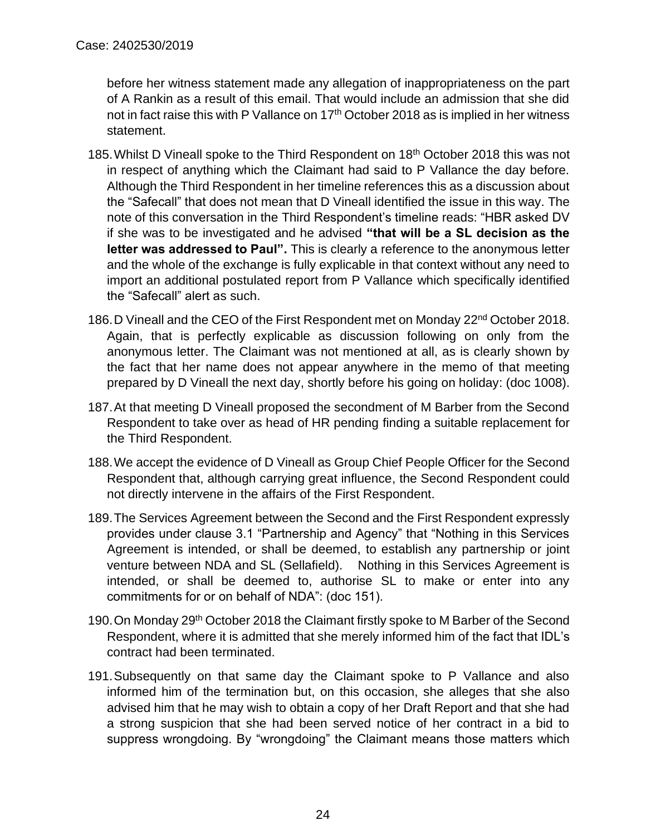before her witness statement made any allegation of inappropriateness on the part of A Rankin as a result of this email. That would include an admission that she did not in fact raise this with P Vallance on 17<sup>th</sup> October 2018 as is implied in her witness statement.

- 185.Whilst D Vineall spoke to the Third Respondent on 18th October 2018 this was not in respect of anything which the Claimant had said to P Vallance the day before. Although the Third Respondent in her timeline references this as a discussion about the "Safecall" that does not mean that D Vineall identified the issue in this way. The note of this conversation in the Third Respondent's timeline reads: "HBR asked DV if she was to be investigated and he advised **"that will be a SL decision as the letter was addressed to Paul".** This is clearly a reference to the anonymous letter and the whole of the exchange is fully explicable in that context without any need to import an additional postulated report from P Vallance which specifically identified the "Safecall" alert as such.
- 186.D Vineall and the CEO of the First Respondent met on Monday 22nd October 2018. Again, that is perfectly explicable as discussion following on only from the anonymous letter. The Claimant was not mentioned at all, as is clearly shown by the fact that her name does not appear anywhere in the memo of that meeting prepared by D Vineall the next day, shortly before his going on holiday: (doc 1008).
- 187.At that meeting D Vineall proposed the secondment of M Barber from the Second Respondent to take over as head of HR pending finding a suitable replacement for the Third Respondent.
- 188.We accept the evidence of D Vineall as Group Chief People Officer for the Second Respondent that, although carrying great influence, the Second Respondent could not directly intervene in the affairs of the First Respondent.
- 189.The Services Agreement between the Second and the First Respondent expressly provides under clause 3.1 "Partnership and Agency" that "Nothing in this Services Agreement is intended, or shall be deemed, to establish any partnership or joint venture between NDA and SL (Sellafield). Nothing in this Services Agreement is intended, or shall be deemed to, authorise SL to make or enter into any commitments for or on behalf of NDA": (doc 151).
- 190.On Monday 29th October 2018 the Claimant firstly spoke to M Barber of the Second Respondent, where it is admitted that she merely informed him of the fact that IDL's contract had been terminated.
- 191.Subsequently on that same day the Claimant spoke to P Vallance and also informed him of the termination but, on this occasion, she alleges that she also advised him that he may wish to obtain a copy of her Draft Report and that she had a strong suspicion that she had been served notice of her contract in a bid to suppress wrongdoing. By "wrongdoing" the Claimant means those matters which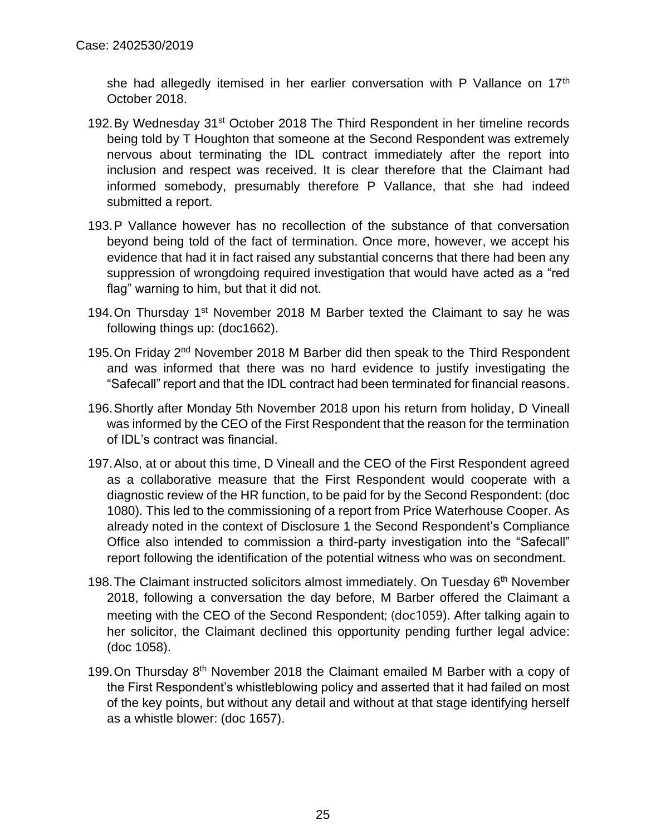she had allegedly itemised in her earlier conversation with P Vallance on 17<sup>th</sup> October 2018.

- 192.By Wednesday 31<sup>st</sup> October 2018 The Third Respondent in her timeline records being told by T Houghton that someone at the Second Respondent was extremely nervous about terminating the IDL contract immediately after the report into inclusion and respect was received. It is clear therefore that the Claimant had informed somebody, presumably therefore P Vallance, that she had indeed submitted a report.
- 193.P Vallance however has no recollection of the substance of that conversation beyond being told of the fact of termination. Once more, however, we accept his evidence that had it in fact raised any substantial concerns that there had been any suppression of wrongdoing required investigation that would have acted as a "red flag" warning to him, but that it did not.
- 194. On Thursday 1<sup>st</sup> November 2018 M Barber texted the Claimant to say he was following things up: (doc1662).
- 195.On Friday 2nd November 2018 M Barber did then speak to the Third Respondent and was informed that there was no hard evidence to justify investigating the "Safecall" report and that the IDL contract had been terminated for financial reasons.
- 196.Shortly after Monday 5th November 2018 upon his return from holiday, D Vineall was informed by the CEO of the First Respondent that the reason for the termination of IDL's contract was financial.
- 197.Also, at or about this time, D Vineall and the CEO of the First Respondent agreed as a collaborative measure that the First Respondent would cooperate with a diagnostic review of the HR function, to be paid for by the Second Respondent: (doc 1080). This led to the commissioning of a report from Price Waterhouse Cooper. As already noted in the context of Disclosure 1 the Second Respondent's Compliance Office also intended to commission a third-party investigation into the "Safecall" report following the identification of the potential witness who was on secondment.
- 198. The Claimant instructed solicitors almost immediately. On Tuesday 6<sup>th</sup> November 2018, following a conversation the day before, M Barber offered the Claimant a meeting with the CEO of the Second Respondent; (doc1059). After talking again to her solicitor, the Claimant declined this opportunity pending further legal advice: (doc 1058).
- 199. On Thursday 8<sup>th</sup> November 2018 the Claimant emailed M Barber with a copy of the First Respondent's whistleblowing policy and asserted that it had failed on most of the key points, but without any detail and without at that stage identifying herself as a whistle blower: (doc 1657).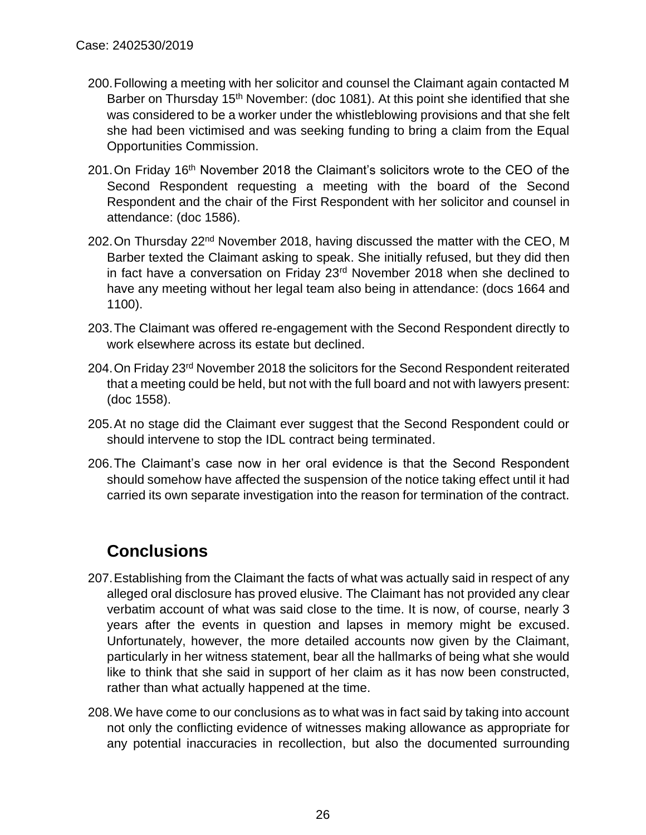- 200.Following a meeting with her solicitor and counsel the Claimant again contacted M Barber on Thursday 15<sup>th</sup> November: (doc 1081). At this point she identified that she was considered to be a worker under the whistleblowing provisions and that she felt she had been victimised and was seeking funding to bring a claim from the Equal Opportunities Commission.
- 201. On Friday 16<sup>th</sup> November 2018 the Claimant's solicitors wrote to the CEO of the Second Respondent requesting a meeting with the board of the Second Respondent and the chair of the First Respondent with her solicitor and counsel in attendance: (doc 1586).
- 202. On Thursdav 22<sup>nd</sup> November 2018, having discussed the matter with the CEO, M Barber texted the Claimant asking to speak. She initially refused, but they did then in fact have a conversation on Friday 23<sup>rd</sup> November 2018 when she declined to have any meeting without her legal team also being in attendance: (docs 1664 and 1100).
- 203.The Claimant was offered re-engagement with the Second Respondent directly to work elsewhere across its estate but declined.
- 204.On Friday 23rd November 2018 the solicitors for the Second Respondent reiterated that a meeting could be held, but not with the full board and not with lawyers present: (doc 1558).
- 205.At no stage did the Claimant ever suggest that the Second Respondent could or should intervene to stop the IDL contract being terminated.
- 206.The Claimant's case now in her oral evidence is that the Second Respondent should somehow have affected the suspension of the notice taking effect until it had carried its own separate investigation into the reason for termination of the contract.

## **Conclusions**

- 207.Establishing from the Claimant the facts of what was actually said in respect of any alleged oral disclosure has proved elusive. The Claimant has not provided any clear verbatim account of what was said close to the time. It is now, of course, nearly 3 years after the events in question and lapses in memory might be excused. Unfortunately, however, the more detailed accounts now given by the Claimant, particularly in her witness statement, bear all the hallmarks of being what she would like to think that she said in support of her claim as it has now been constructed, rather than what actually happened at the time.
- 208.We have come to our conclusions as to what was in fact said by taking into account not only the conflicting evidence of witnesses making allowance as appropriate for any potential inaccuracies in recollection, but also the documented surrounding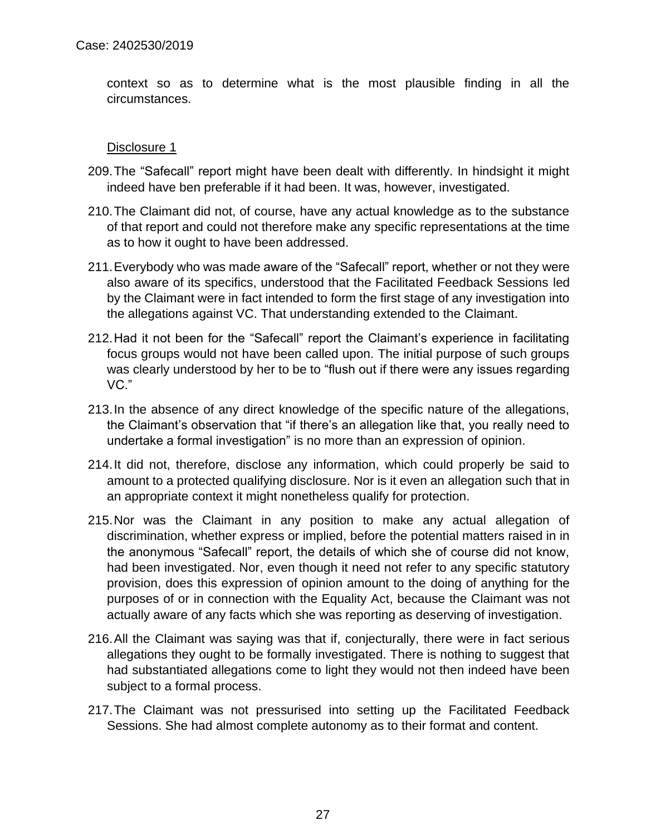context so as to determine what is the most plausible finding in all the circumstances.

- 209.The "Safecall" report might have been dealt with differently. In hindsight it might indeed have ben preferable if it had been. It was, however, investigated.
- 210.The Claimant did not, of course, have any actual knowledge as to the substance of that report and could not therefore make any specific representations at the time as to how it ought to have been addressed.
- 211.Everybody who was made aware of the "Safecall" report, whether or not they were also aware of its specifics, understood that the Facilitated Feedback Sessions led by the Claimant were in fact intended to form the first stage of any investigation into the allegations against VC. That understanding extended to the Claimant.
- 212.Had it not been for the "Safecall" report the Claimant's experience in facilitating focus groups would not have been called upon. The initial purpose of such groups was clearly understood by her to be to "flush out if there were any issues regarding VC."
- 213.In the absence of any direct knowledge of the specific nature of the allegations, the Claimant's observation that "if there's an allegation like that, you really need to undertake a formal investigation" is no more than an expression of opinion.
- 214.It did not, therefore, disclose any information, which could properly be said to amount to a protected qualifying disclosure. Nor is it even an allegation such that in an appropriate context it might nonetheless qualify for protection.
- 215.Nor was the Claimant in any position to make any actual allegation of discrimination, whether express or implied, before the potential matters raised in in the anonymous "Safecall" report, the details of which she of course did not know, had been investigated. Nor, even though it need not refer to any specific statutory provision, does this expression of opinion amount to the doing of anything for the purposes of or in connection with the Equality Act, because the Claimant was not actually aware of any facts which she was reporting as deserving of investigation.
- 216.All the Claimant was saying was that if, conjecturally, there were in fact serious allegations they ought to be formally investigated. There is nothing to suggest that had substantiated allegations come to light they would not then indeed have been subject to a formal process.
- 217.The Claimant was not pressurised into setting up the Facilitated Feedback Sessions. She had almost complete autonomy as to their format and content.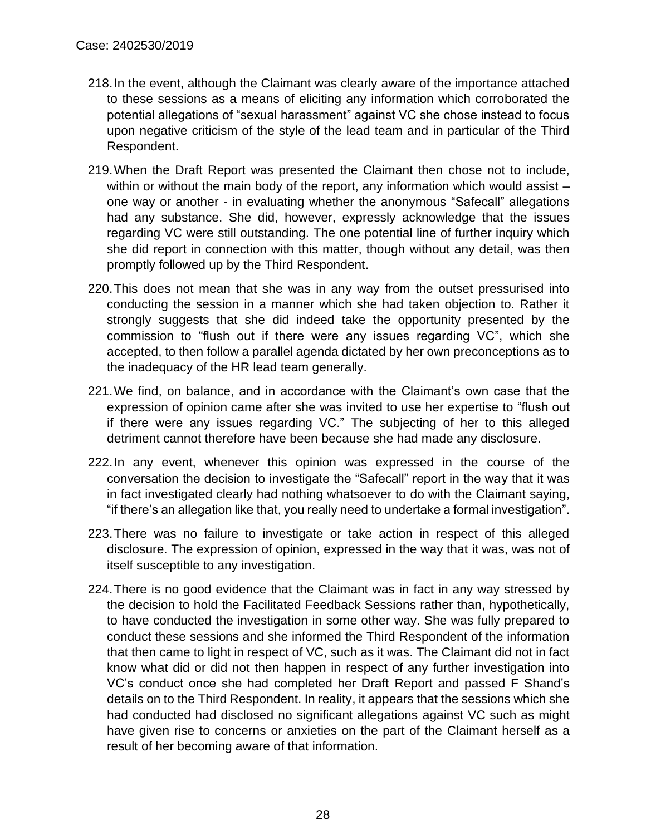- 218.In the event, although the Claimant was clearly aware of the importance attached to these sessions as a means of eliciting any information which corroborated the potential allegations of "sexual harassment" against VC she chose instead to focus upon negative criticism of the style of the lead team and in particular of the Third Respondent.
- 219.When the Draft Report was presented the Claimant then chose not to include, within or without the main body of the report, any information which would assist one way or another - in evaluating whether the anonymous "Safecall" allegations had any substance. She did, however, expressly acknowledge that the issues regarding VC were still outstanding. The one potential line of further inquiry which she did report in connection with this matter, though without any detail, was then promptly followed up by the Third Respondent.
- 220.This does not mean that she was in any way from the outset pressurised into conducting the session in a manner which she had taken objection to. Rather it strongly suggests that she did indeed take the opportunity presented by the commission to "flush out if there were any issues regarding VC", which she accepted, to then follow a parallel agenda dictated by her own preconceptions as to the inadequacy of the HR lead team generally.
- 221.We find, on balance, and in accordance with the Claimant's own case that the expression of opinion came after she was invited to use her expertise to "flush out if there were any issues regarding VC." The subjecting of her to this alleged detriment cannot therefore have been because she had made any disclosure.
- 222.In any event, whenever this opinion was expressed in the course of the conversation the decision to investigate the "Safecall" report in the way that it was in fact investigated clearly had nothing whatsoever to do with the Claimant saying, "if there's an allegation like that, you really need to undertake a formal investigation".
- 223.There was no failure to investigate or take action in respect of this alleged disclosure. The expression of opinion, expressed in the way that it was, was not of itself susceptible to any investigation.
- 224.There is no good evidence that the Claimant was in fact in any way stressed by the decision to hold the Facilitated Feedback Sessions rather than, hypothetically, to have conducted the investigation in some other way. She was fully prepared to conduct these sessions and she informed the Third Respondent of the information that then came to light in respect of VC, such as it was. The Claimant did not in fact know what did or did not then happen in respect of any further investigation into VC's conduct once she had completed her Draft Report and passed F Shand's details on to the Third Respondent. In reality, it appears that the sessions which she had conducted had disclosed no significant allegations against VC such as might have given rise to concerns or anxieties on the part of the Claimant herself as a result of her becoming aware of that information.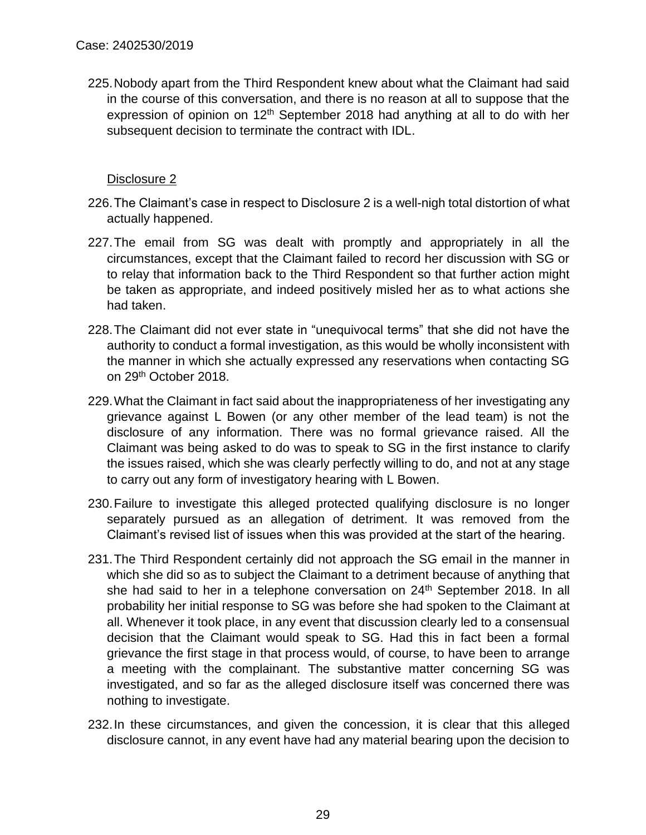225.Nobody apart from the Third Respondent knew about what the Claimant had said in the course of this conversation, and there is no reason at all to suppose that the expression of opinion on 12<sup>th</sup> September 2018 had anything at all to do with her subsequent decision to terminate the contract with IDL.

- 226.The Claimant's case in respect to Disclosure 2 is a well-nigh total distortion of what actually happened.
- 227.The email from SG was dealt with promptly and appropriately in all the circumstances, except that the Claimant failed to record her discussion with SG or to relay that information back to the Third Respondent so that further action might be taken as appropriate, and indeed positively misled her as to what actions she had taken.
- 228.The Claimant did not ever state in "unequivocal terms" that she did not have the authority to conduct a formal investigation, as this would be wholly inconsistent with the manner in which she actually expressed any reservations when contacting SG on 29th October 2018.
- 229.What the Claimant in fact said about the inappropriateness of her investigating any grievance against L Bowen (or any other member of the lead team) is not the disclosure of any information. There was no formal grievance raised. All the Claimant was being asked to do was to speak to SG in the first instance to clarify the issues raised, which she was clearly perfectly willing to do, and not at any stage to carry out any form of investigatory hearing with L Bowen.
- 230.Failure to investigate this alleged protected qualifying disclosure is no longer separately pursued as an allegation of detriment. It was removed from the Claimant's revised list of issues when this was provided at the start of the hearing.
- 231.The Third Respondent certainly did not approach the SG email in the manner in which she did so as to subject the Claimant to a detriment because of anything that she had said to her in a telephone conversation on 24<sup>th</sup> September 2018. In all probability her initial response to SG was before she had spoken to the Claimant at all. Whenever it took place, in any event that discussion clearly led to a consensual decision that the Claimant would speak to SG. Had this in fact been a formal grievance the first stage in that process would, of course, to have been to arrange a meeting with the complainant. The substantive matter concerning SG was investigated, and so far as the alleged disclosure itself was concerned there was nothing to investigate.
- 232.In these circumstances, and given the concession, it is clear that this alleged disclosure cannot, in any event have had any material bearing upon the decision to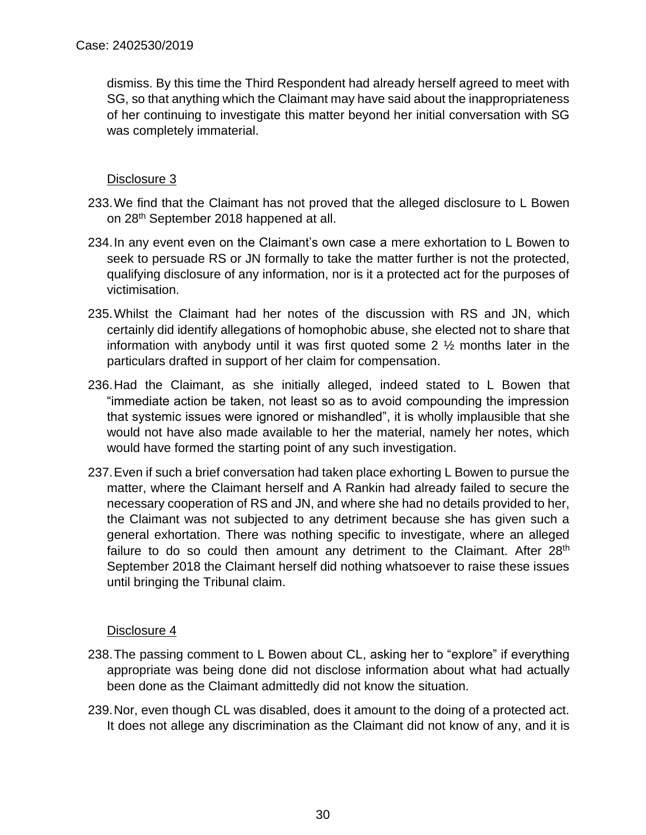dismiss. By this time the Third Respondent had already herself agreed to meet with SG, so that anything which the Claimant may have said about the inappropriateness of her continuing to investigate this matter beyond her initial conversation with SG was completely immaterial.

## Disclosure 3

- 233.We find that the Claimant has not proved that the alleged disclosure to L Bowen on 28th September 2018 happened at all.
- 234.In any event even on the Claimant's own case a mere exhortation to L Bowen to seek to persuade RS or JN formally to take the matter further is not the protected, qualifying disclosure of any information, nor is it a protected act for the purposes of victimisation.
- 235.Whilst the Claimant had her notes of the discussion with RS and JN, which certainly did identify allegations of homophobic abuse, she elected not to share that information with anybody until it was first quoted some 2 ½ months later in the particulars drafted in support of her claim for compensation.
- 236.Had the Claimant, as she initially alleged, indeed stated to L Bowen that "immediate action be taken, not least so as to avoid compounding the impression that systemic issues were ignored or mishandled", it is wholly implausible that she would not have also made available to her the material, namely her notes, which would have formed the starting point of any such investigation.
- 237.Even if such a brief conversation had taken place exhorting L Bowen to pursue the matter, where the Claimant herself and A Rankin had already failed to secure the necessary cooperation of RS and JN, and where she had no details provided to her, the Claimant was not subjected to any detriment because she has given such a general exhortation. There was nothing specific to investigate, where an alleged failure to do so could then amount any detriment to the Claimant. After 28<sup>th</sup> September 2018 the Claimant herself did nothing whatsoever to raise these issues until bringing the Tribunal claim.

- 238.The passing comment to L Bowen about CL, asking her to "explore" if everything appropriate was being done did not disclose information about what had actually been done as the Claimant admittedly did not know the situation.
- 239.Nor, even though CL was disabled, does it amount to the doing of a protected act. It does not allege any discrimination as the Claimant did not know of any, and it is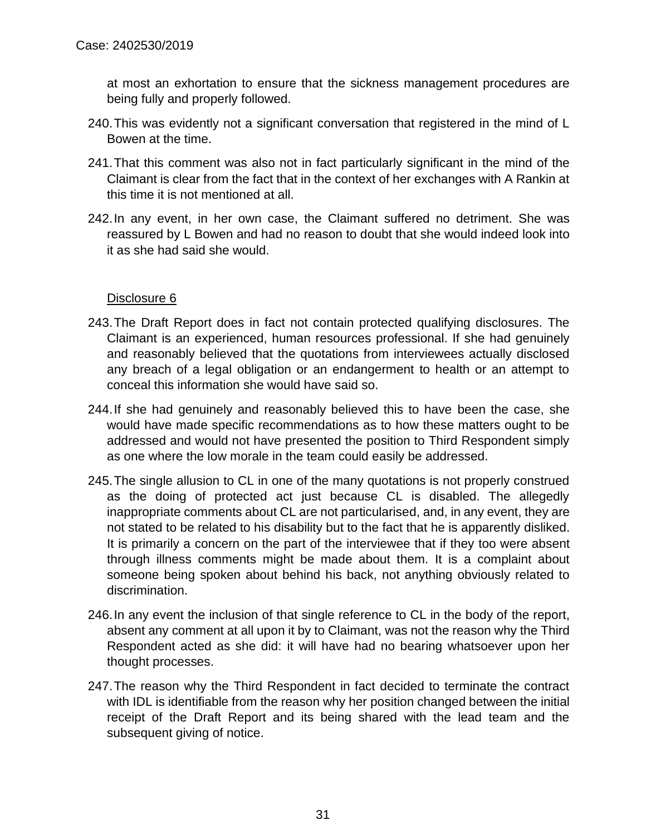at most an exhortation to ensure that the sickness management procedures are being fully and properly followed.

- 240.This was evidently not a significant conversation that registered in the mind of L Bowen at the time.
- 241.That this comment was also not in fact particularly significant in the mind of the Claimant is clear from the fact that in the context of her exchanges with A Rankin at this time it is not mentioned at all.
- 242.In any event, in her own case, the Claimant suffered no detriment. She was reassured by L Bowen and had no reason to doubt that she would indeed look into it as she had said she would.

- 243.The Draft Report does in fact not contain protected qualifying disclosures. The Claimant is an experienced, human resources professional. If she had genuinely and reasonably believed that the quotations from interviewees actually disclosed any breach of a legal obligation or an endangerment to health or an attempt to conceal this information she would have said so.
- 244.If she had genuinely and reasonably believed this to have been the case, she would have made specific recommendations as to how these matters ought to be addressed and would not have presented the position to Third Respondent simply as one where the low morale in the team could easily be addressed.
- 245.The single allusion to CL in one of the many quotations is not properly construed as the doing of protected act just because CL is disabled. The allegedly inappropriate comments about CL are not particularised, and, in any event, they are not stated to be related to his disability but to the fact that he is apparently disliked. It is primarily a concern on the part of the interviewee that if they too were absent through illness comments might be made about them. It is a complaint about someone being spoken about behind his back, not anything obviously related to discrimination.
- 246.In any event the inclusion of that single reference to CL in the body of the report, absent any comment at all upon it by to Claimant, was not the reason why the Third Respondent acted as she did: it will have had no bearing whatsoever upon her thought processes.
- 247.The reason why the Third Respondent in fact decided to terminate the contract with IDL is identifiable from the reason why her position changed between the initial receipt of the Draft Report and its being shared with the lead team and the subsequent giving of notice.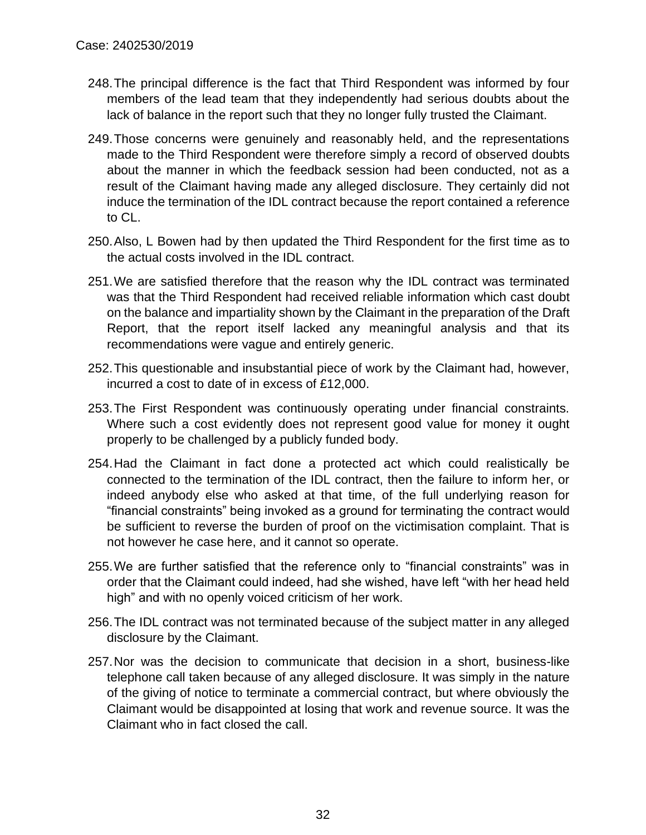- 248.The principal difference is the fact that Third Respondent was informed by four members of the lead team that they independently had serious doubts about the lack of balance in the report such that they no longer fully trusted the Claimant.
- 249.Those concerns were genuinely and reasonably held, and the representations made to the Third Respondent were therefore simply a record of observed doubts about the manner in which the feedback session had been conducted, not as a result of the Claimant having made any alleged disclosure. They certainly did not induce the termination of the IDL contract because the report contained a reference to CL.
- 250.Also, L Bowen had by then updated the Third Respondent for the first time as to the actual costs involved in the IDL contract.
- 251.We are satisfied therefore that the reason why the IDL contract was terminated was that the Third Respondent had received reliable information which cast doubt on the balance and impartiality shown by the Claimant in the preparation of the Draft Report, that the report itself lacked any meaningful analysis and that its recommendations were vague and entirely generic.
- 252.This questionable and insubstantial piece of work by the Claimant had, however, incurred a cost to date of in excess of £12,000.
- 253.The First Respondent was continuously operating under financial constraints. Where such a cost evidently does not represent good value for money it ought properly to be challenged by a publicly funded body.
- 254.Had the Claimant in fact done a protected act which could realistically be connected to the termination of the IDL contract, then the failure to inform her, or indeed anybody else who asked at that time, of the full underlying reason for "financial constraints" being invoked as a ground for terminating the contract would be sufficient to reverse the burden of proof on the victimisation complaint. That is not however he case here, and it cannot so operate.
- 255.We are further satisfied that the reference only to "financial constraints" was in order that the Claimant could indeed, had she wished, have left "with her head held high" and with no openly voiced criticism of her work.
- 256.The IDL contract was not terminated because of the subject matter in any alleged disclosure by the Claimant.
- 257.Nor was the decision to communicate that decision in a short, business-like telephone call taken because of any alleged disclosure. It was simply in the nature of the giving of notice to terminate a commercial contract, but where obviously the Claimant would be disappointed at losing that work and revenue source. It was the Claimant who in fact closed the call.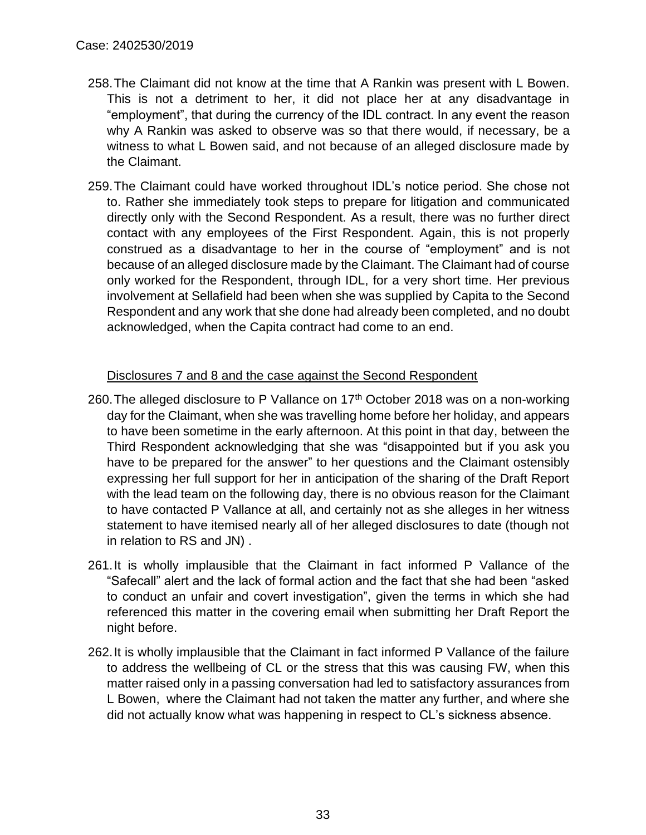- 258.The Claimant did not know at the time that A Rankin was present with L Bowen. This is not a detriment to her, it did not place her at any disadvantage in "employment", that during the currency of the IDL contract. In any event the reason why A Rankin was asked to observe was so that there would, if necessary, be a witness to what L Bowen said, and not because of an alleged disclosure made by the Claimant.
- 259.The Claimant could have worked throughout IDL's notice period. She chose not to. Rather she immediately took steps to prepare for litigation and communicated directly only with the Second Respondent. As a result, there was no further direct contact with any employees of the First Respondent. Again, this is not properly construed as a disadvantage to her in the course of "employment" and is not because of an alleged disclosure made by the Claimant. The Claimant had of course only worked for the Respondent, through IDL, for a very short time. Her previous involvement at Sellafield had been when she was supplied by Capita to the Second Respondent and any work that she done had already been completed, and no doubt acknowledged, when the Capita contract had come to an end.

#### Disclosures 7 and 8 and the case against the Second Respondent

- 260. The alleged disclosure to P Vallance on  $17<sup>th</sup>$  October 2018 was on a non-working day for the Claimant, when she was travelling home before her holiday, and appears to have been sometime in the early afternoon. At this point in that day, between the Third Respondent acknowledging that she was "disappointed but if you ask you have to be prepared for the answer" to her questions and the Claimant ostensibly expressing her full support for her in anticipation of the sharing of the Draft Report with the lead team on the following day, there is no obvious reason for the Claimant to have contacted P Vallance at all, and certainly not as she alleges in her witness statement to have itemised nearly all of her alleged disclosures to date (though not in relation to RS and JN) .
- 261.It is wholly implausible that the Claimant in fact informed P Vallance of the "Safecall" alert and the lack of formal action and the fact that she had been "asked to conduct an unfair and covert investigation", given the terms in which she had referenced this matter in the covering email when submitting her Draft Report the night before.
- 262.It is wholly implausible that the Claimant in fact informed P Vallance of the failure to address the wellbeing of CL or the stress that this was causing FW, when this matter raised only in a passing conversation had led to satisfactory assurances from L Bowen, where the Claimant had not taken the matter any further, and where she did not actually know what was happening in respect to CL's sickness absence.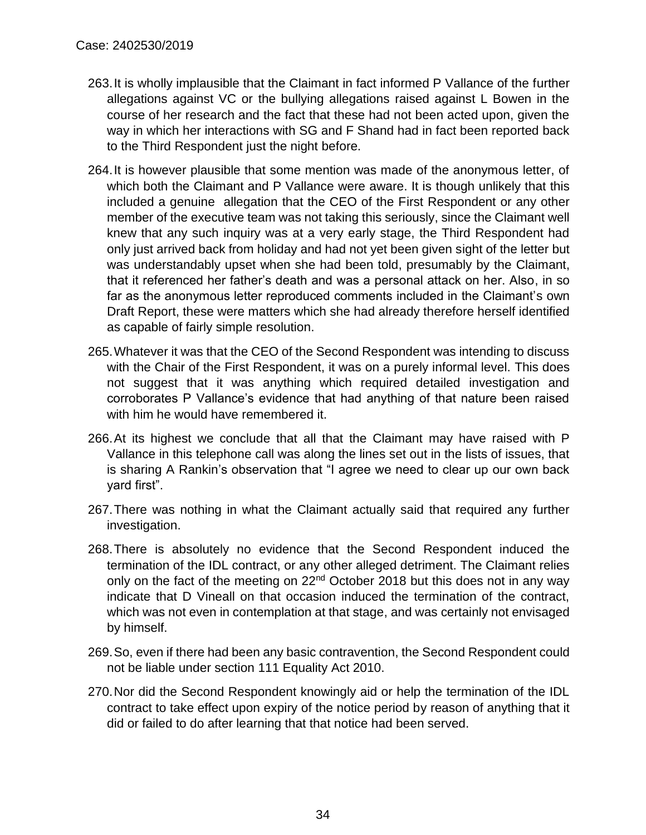- 263.It is wholly implausible that the Claimant in fact informed P Vallance of the further allegations against VC or the bullying allegations raised against L Bowen in the course of her research and the fact that these had not been acted upon, given the way in which her interactions with SG and F Shand had in fact been reported back to the Third Respondent just the night before.
- 264.It is however plausible that some mention was made of the anonymous letter, of which both the Claimant and P Vallance were aware. It is though unlikely that this included a genuine allegation that the CEO of the First Respondent or any other member of the executive team was not taking this seriously, since the Claimant well knew that any such inquiry was at a very early stage, the Third Respondent had only just arrived back from holiday and had not yet been given sight of the letter but was understandably upset when she had been told, presumably by the Claimant, that it referenced her father's death and was a personal attack on her. Also, in so far as the anonymous letter reproduced comments included in the Claimant's own Draft Report, these were matters which she had already therefore herself identified as capable of fairly simple resolution.
- 265.Whatever it was that the CEO of the Second Respondent was intending to discuss with the Chair of the First Respondent, it was on a purely informal level. This does not suggest that it was anything which required detailed investigation and corroborates P Vallance's evidence that had anything of that nature been raised with him he would have remembered it.
- 266.At its highest we conclude that all that the Claimant may have raised with P Vallance in this telephone call was along the lines set out in the lists of issues, that is sharing A Rankin's observation that "I agree we need to clear up our own back yard first".
- 267.There was nothing in what the Claimant actually said that required any further investigation.
- 268.There is absolutely no evidence that the Second Respondent induced the termination of the IDL contract, or any other alleged detriment. The Claimant relies only on the fact of the meeting on 22<sup>nd</sup> October 2018 but this does not in any way indicate that D Vineall on that occasion induced the termination of the contract, which was not even in contemplation at that stage, and was certainly not envisaged by himself.
- 269.So, even if there had been any basic contravention, the Second Respondent could not be liable under section 111 Equality Act 2010.
- 270.Nor did the Second Respondent knowingly aid or help the termination of the IDL contract to take effect upon expiry of the notice period by reason of anything that it did or failed to do after learning that that notice had been served.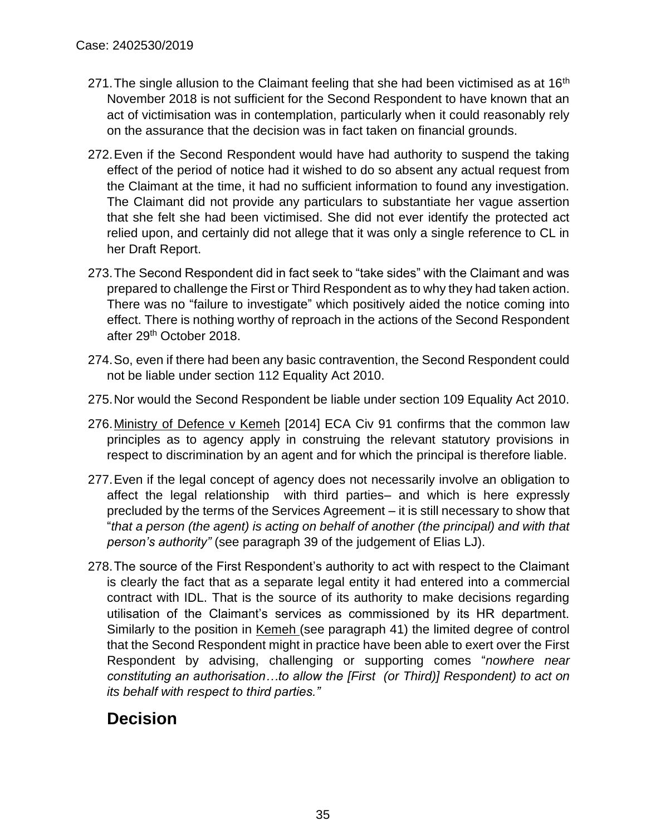- 271. The single allusion to the Claimant feeling that she had been victimised as at  $16<sup>th</sup>$ November 2018 is not sufficient for the Second Respondent to have known that an act of victimisation was in contemplation, particularly when it could reasonably rely on the assurance that the decision was in fact taken on financial grounds.
- 272.Even if the Second Respondent would have had authority to suspend the taking effect of the period of notice had it wished to do so absent any actual request from the Claimant at the time, it had no sufficient information to found any investigation. The Claimant did not provide any particulars to substantiate her vague assertion that she felt she had been victimised. She did not ever identify the protected act relied upon, and certainly did not allege that it was only a single reference to CL in her Draft Report.
- 273.The Second Respondent did in fact seek to "take sides" with the Claimant and was prepared to challenge the First or Third Respondent as to why they had taken action. There was no "failure to investigate" which positively aided the notice coming into effect. There is nothing worthy of reproach in the actions of the Second Respondent after 29th October 2018.
- 274.So, even if there had been any basic contravention, the Second Respondent could not be liable under section 112 Equality Act 2010.
- 275.Nor would the Second Respondent be liable under section 109 Equality Act 2010.
- 276.Ministry of Defence v Kemeh [2014] ECA Civ 91 confirms that the common law principles as to agency apply in construing the relevant statutory provisions in respect to discrimination by an agent and for which the principal is therefore liable.
- 277.Even if the legal concept of agency does not necessarily involve an obligation to affect the legal relationship with third parties– and which is here expressly precluded by the terms of the Services Agreement – it is still necessary to show that "*that a person (the agent) is acting on behalf of another (the principal) and with that person's authority"* (see paragraph 39 of the judgement of Elias LJ).
- 278.The source of the First Respondent's authority to act with respect to the Claimant is clearly the fact that as a separate legal entity it had entered into a commercial contract with IDL. That is the source of its authority to make decisions regarding utilisation of the Claimant's services as commissioned by its HR department. Similarly to the position in Kemeh (see paragraph 41) the limited degree of control that the Second Respondent might in practice have been able to exert over the First Respondent by advising, challenging or supporting comes "*nowhere near constituting an authorisation…to allow the [First (or Third)] Respondent) to act on its behalf with respect to third parties."*

## **Decision**